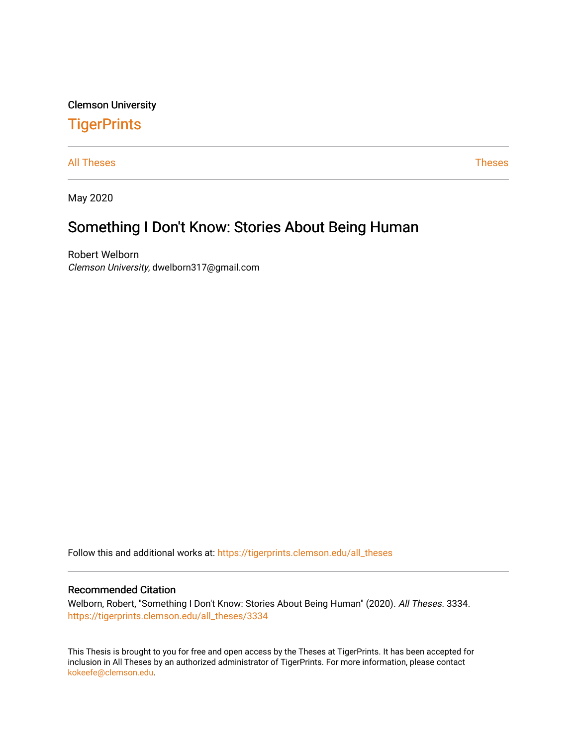Clemson University

## **TigerPrints**

[All Theses](https://tigerprints.clemson.edu/all_theses) **Theses** [Theses](https://tigerprints.clemson.edu/theses) **Theses** 

May 2020

# Something I Don't Know: Stories About Being Human

Robert Welborn Clemson University, dwelborn317@gmail.com

Follow this and additional works at: [https://tigerprints.clemson.edu/all\\_theses](https://tigerprints.clemson.edu/all_theses?utm_source=tigerprints.clemson.edu%2Fall_theses%2F3334&utm_medium=PDF&utm_campaign=PDFCoverPages) 

#### Recommended Citation

Welborn, Robert, "Something I Don't Know: Stories About Being Human" (2020). All Theses. 3334. [https://tigerprints.clemson.edu/all\\_theses/3334](https://tigerprints.clemson.edu/all_theses/3334?utm_source=tigerprints.clemson.edu%2Fall_theses%2F3334&utm_medium=PDF&utm_campaign=PDFCoverPages) 

This Thesis is brought to you for free and open access by the Theses at TigerPrints. It has been accepted for inclusion in All Theses by an authorized administrator of TigerPrints. For more information, please contact [kokeefe@clemson.edu](mailto:kokeefe@clemson.edu).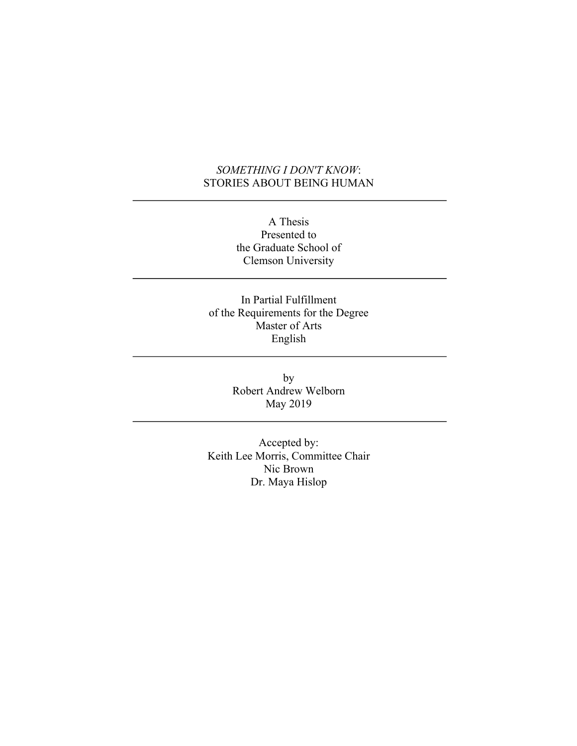#### *SOMETHING I DON'T KNOW*: STORIES ABOUT BEING HUMAN

A Thesis Presented to the Graduate School of Clemson University

In Partial Fulfillment of the Requirements for the Degree Master of Arts English

> by Robert Andrew Welborn May 2019

Accepted by: Keith Lee Morris, Committee Chair Nic Brown Dr. Maya Hislop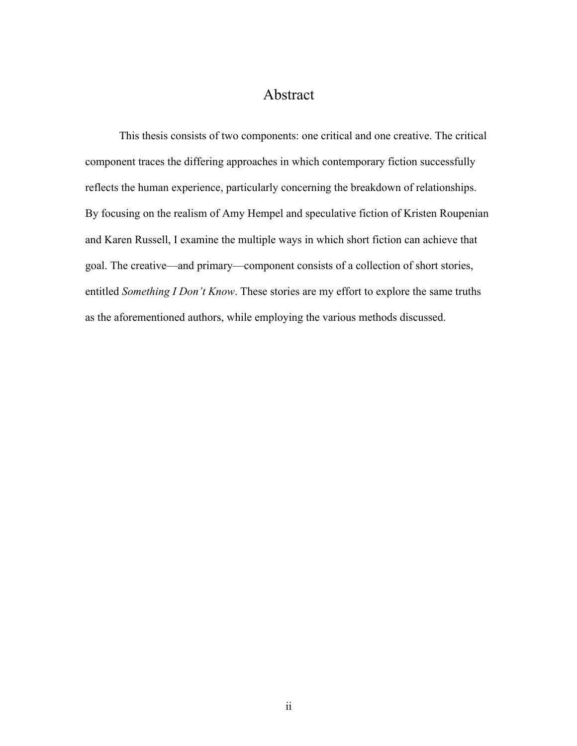## Abstract

This thesis consists of two components: one critical and one creative. The critical component traces the differing approaches in which contemporary fiction successfully reflects the human experience, particularly concerning the breakdown of relationships. By focusing on the realism of Amy Hempel and speculative fiction of Kristen Roupenian and Karen Russell, I examine the multiple ways in which short fiction can achieve that goal. The creative—and primary—component consists of a collection of short stories, entitled *Something I Don't Know*. These stories are my effort to explore the same truths as the aforementioned authors, while employing the various methods discussed.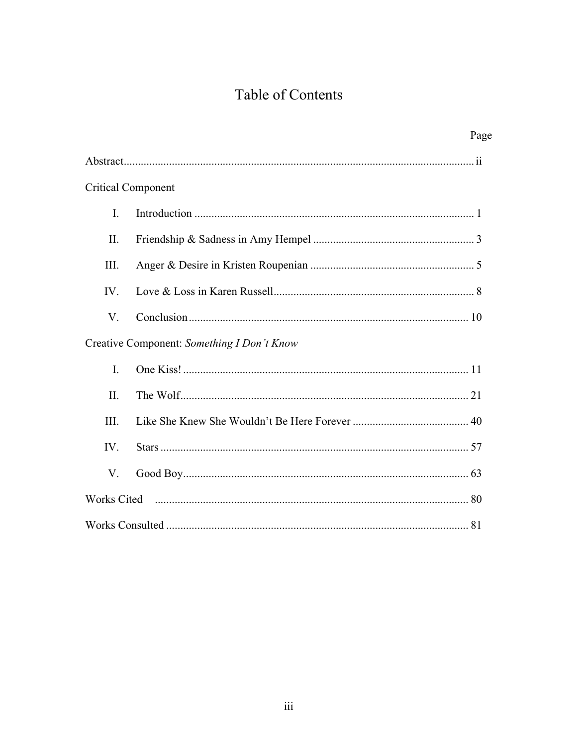# Table of Contents

|                           | Page                                       |
|---------------------------|--------------------------------------------|
|                           |                                            |
| <b>Critical Component</b> |                                            |
| I.                        |                                            |
| II.                       |                                            |
| Ш.                        |                                            |
| IV.                       |                                            |
| V.                        |                                            |
|                           | Creative Component: Something I Don't Know |
| I.                        |                                            |
| II.                       |                                            |
| III.                      |                                            |
| IV.                       |                                            |
| V.                        |                                            |
|                           |                                            |
|                           |                                            |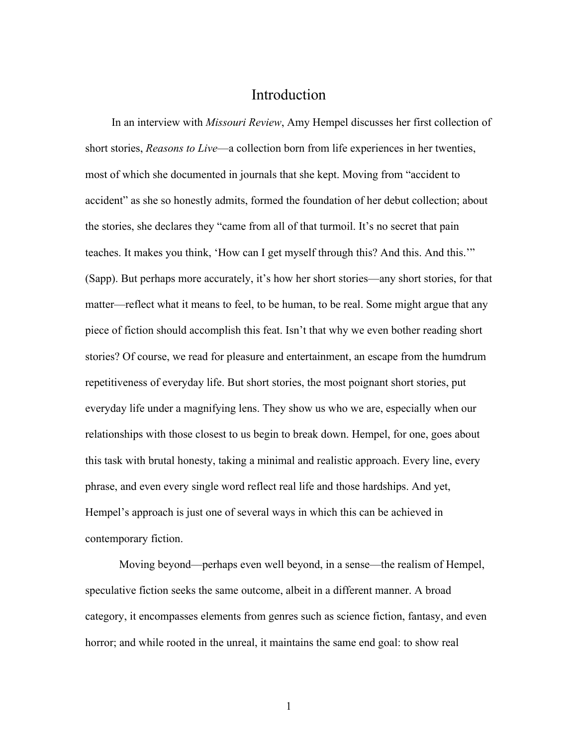#### Introduction

In an interview with *Missouri Review*, Amy Hempel discusses her first collection of short stories, *Reasons to Live*—a collection born from life experiences in her twenties, most of which she documented in journals that she kept. Moving from "accident to accident" as she so honestly admits, formed the foundation of her debut collection; about the stories, she declares they "came from all of that turmoil. It's no secret that pain teaches. It makes you think, 'How can I get myself through this? And this. And this.'" (Sapp). But perhaps more accurately, it's how her short stories—any short stories, for that matter—reflect what it means to feel, to be human, to be real. Some might argue that any piece of fiction should accomplish this feat. Isn't that why we even bother reading short stories? Of course, we read for pleasure and entertainment, an escape from the humdrum repetitiveness of everyday life. But short stories, the most poignant short stories, put everyday life under a magnifying lens. They show us who we are, especially when our relationships with those closest to us begin to break down. Hempel, for one, goes about this task with brutal honesty, taking a minimal and realistic approach. Every line, every phrase, and even every single word reflect real life and those hardships. And yet, Hempel's approach is just one of several ways in which this can be achieved in contemporary fiction.

Moving beyond—perhaps even well beyond, in a sense—the realism of Hempel, speculative fiction seeks the same outcome, albeit in a different manner. A broad category, it encompasses elements from genres such as science fiction, fantasy, and even horror; and while rooted in the unreal, it maintains the same end goal: to show real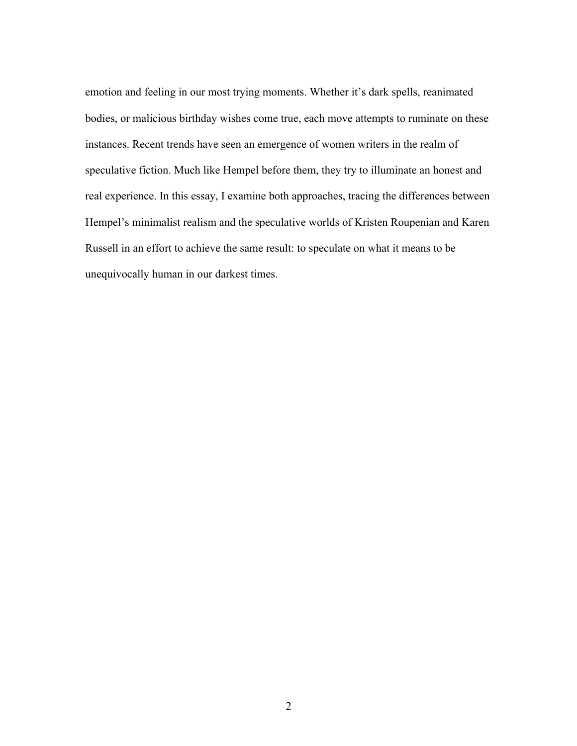emotion and feeling in our most trying moments. Whether it's dark spells, reanimated bodies, or malicious birthday wishes come true, each move attempts to ruminate on these instances. Recent trends have seen an emergence of women writers in the realm of speculative fiction. Much like Hempel before them, they try to illuminate an honest and real experience. In this essay, I examine both approaches, tracing the differences between Hempel's minimalist realism and the speculative worlds of Kristen Roupenian and Karen Russell in an effort to achieve the same result: to speculate on what it means to be unequivocally human in our darkest times.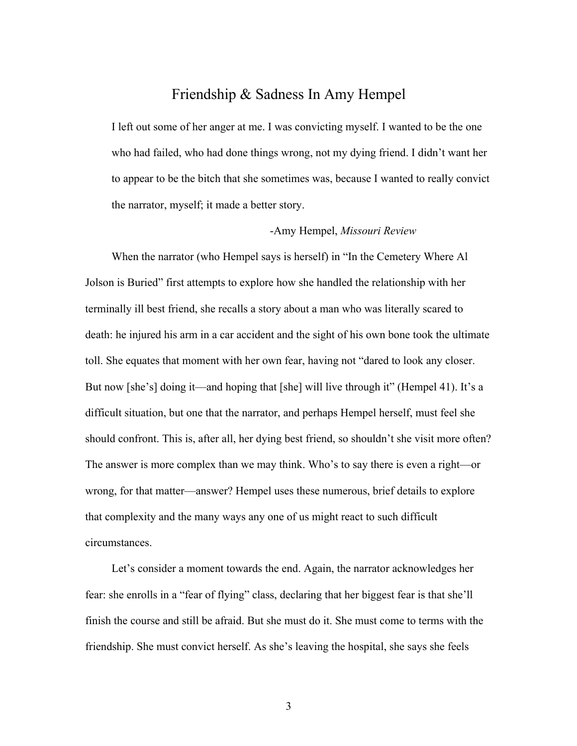### Friendship & Sadness In Amy Hempel

I left out some of her anger at me. I was convicting myself. I wanted to be the one who had failed, who had done things wrong, not my dying friend. I didn't want her to appear to be the bitch that she sometimes was, because I wanted to really convict the narrator, myself; it made a better story.

#### -Amy Hempel, *Missouri Review*

When the narrator (who Hempel says is herself) in "In the Cemetery Where Al Jolson is Buried" first attempts to explore how she handled the relationship with her terminally ill best friend, she recalls a story about a man who was literally scared to death: he injured his arm in a car accident and the sight of his own bone took the ultimate toll. She equates that moment with her own fear, having not "dared to look any closer. But now [she's] doing it—and hoping that [she] will live through it" (Hempel 41). It's a difficult situation, but one that the narrator, and perhaps Hempel herself, must feel she should confront. This is, after all, her dying best friend, so shouldn't she visit more often? The answer is more complex than we may think. Who's to say there is even a right—or wrong, for that matter—answer? Hempel uses these numerous, brief details to explore that complexity and the many ways any one of us might react to such difficult circumstances.

Let's consider a moment towards the end. Again, the narrator acknowledges her fear: she enrolls in a "fear of flying" class, declaring that her biggest fear is that she'll finish the course and still be afraid. But she must do it. She must come to terms with the friendship. She must convict herself. As she's leaving the hospital, she says she feels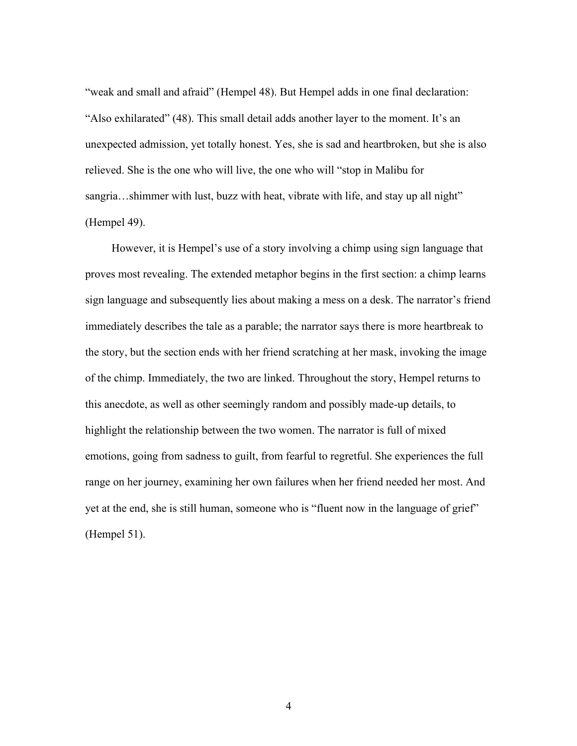"weak and small and afraid" (Hempel 48). But Hempel adds in one final declaration: "Also exhilarated" (48). This small detail adds another layer to the moment. It's an unexpected admission, yet totally honest. Yes, she is sad and heartbroken, but she is also relieved. She is the one who will live, the one who will "stop in Malibu for sangria...shimmer with lust, buzz with heat, vibrate with life, and stay up all night" (Hempel 49).

However, it is Hempel's use of a story involving a chimp using sign language that proves most revealing. The extended metaphor begins in the first section: a chimp learns sign language and subsequently lies about making a mess on a desk. The narrator's friend immediately describes the tale as a parable; the narrator says there is more heartbreak to the story, but the section ends with her friend scratching at her mask, invoking the image of the chimp. Immediately, the two are linked. Throughout the story, Hempel returns to this anecdote, as well as other seemingly random and possibly made-up details, to highlight the relationship between the two women. The narrator is full of mixed emotions, going from sadness to guilt, from fearful to regretful. She experiences the full range on her journey, examining her own failures when her friend needed her most. And yet at the end, she is still human, someone who is "fluent now in the language of grief" (Hempel 51).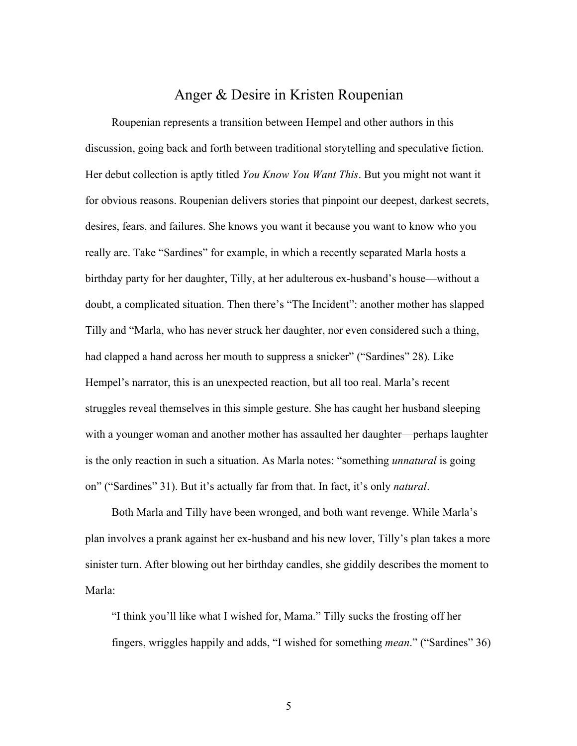#### Anger & Desire in Kristen Roupenian

Roupenian represents a transition between Hempel and other authors in this discussion, going back and forth between traditional storytelling and speculative fiction. Her debut collection is aptly titled *You Know You Want This*. But you might not want it for obvious reasons. Roupenian delivers stories that pinpoint our deepest, darkest secrets, desires, fears, and failures. She knows you want it because you want to know who you really are. Take "Sardines" for example, in which a recently separated Marla hosts a birthday party for her daughter, Tilly, at her adulterous ex-husband's house—without a doubt, a complicated situation. Then there's "The Incident": another mother has slapped Tilly and "Marla, who has never struck her daughter, nor even considered such a thing, had clapped a hand across her mouth to suppress a snicker" ("Sardines" 28). Like Hempel's narrator, this is an unexpected reaction, but all too real. Marla's recent struggles reveal themselves in this simple gesture. She has caught her husband sleeping with a younger woman and another mother has assaulted her daughter—perhaps laughter is the only reaction in such a situation. As Marla notes: "something *unnatural* is going on" ("Sardines" 31). But it's actually far from that. In fact, it's only *natural*.

Both Marla and Tilly have been wronged, and both want revenge. While Marla's plan involves a prank against her ex-husband and his new lover, Tilly's plan takes a more sinister turn. After blowing out her birthday candles, she giddily describes the moment to Marla:

"I think you'll like what I wished for, Mama." Tilly sucks the frosting off her fingers, wriggles happily and adds, "I wished for something *mean*." ("Sardines" 36)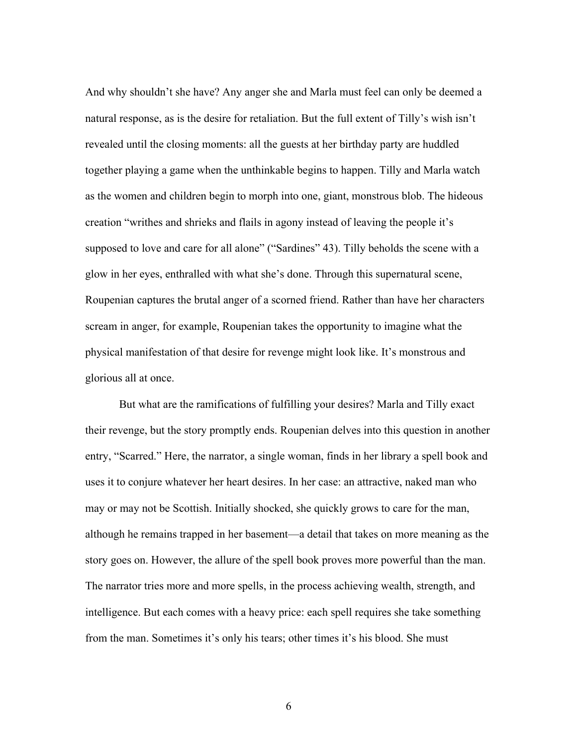And why shouldn't she have? Any anger she and Marla must feel can only be deemed a natural response, as is the desire for retaliation. But the full extent of Tilly's wish isn't revealed until the closing moments: all the guests at her birthday party are huddled together playing a game when the unthinkable begins to happen. Tilly and Marla watch as the women and children begin to morph into one, giant, monstrous blob. The hideous creation "writhes and shrieks and flails in agony instead of leaving the people it's supposed to love and care for all alone" ("Sardines" 43). Tilly beholds the scene with a glow in her eyes, enthralled with what she's done. Through this supernatural scene, Roupenian captures the brutal anger of a scorned friend. Rather than have her characters scream in anger, for example, Roupenian takes the opportunity to imagine what the physical manifestation of that desire for revenge might look like. It's monstrous and glorious all at once.

But what are the ramifications of fulfilling your desires? Marla and Tilly exact their revenge, but the story promptly ends. Roupenian delves into this question in another entry, "Scarred." Here, the narrator, a single woman, finds in her library a spell book and uses it to conjure whatever her heart desires. In her case: an attractive, naked man who may or may not be Scottish. Initially shocked, she quickly grows to care for the man, although he remains trapped in her basement—a detail that takes on more meaning as the story goes on. However, the allure of the spell book proves more powerful than the man. The narrator tries more and more spells, in the process achieving wealth, strength, and intelligence. But each comes with a heavy price: each spell requires she take something from the man. Sometimes it's only his tears; other times it's his blood. She must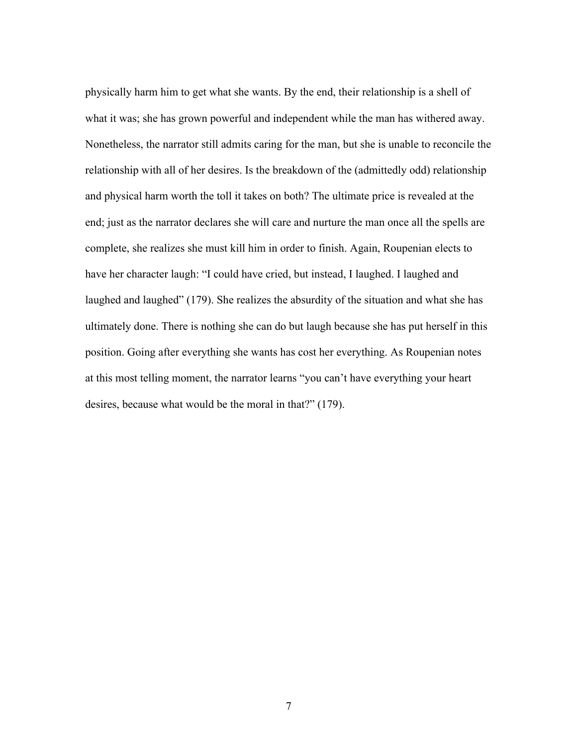physically harm him to get what she wants. By the end, their relationship is a shell of what it was; she has grown powerful and independent while the man has withered away. Nonetheless, the narrator still admits caring for the man, but she is unable to reconcile the relationship with all of her desires. Is the breakdown of the (admittedly odd) relationship and physical harm worth the toll it takes on both? The ultimate price is revealed at the end; just as the narrator declares she will care and nurture the man once all the spells are complete, she realizes she must kill him in order to finish. Again, Roupenian elects to have her character laugh: "I could have cried, but instead, I laughed. I laughed and laughed and laughed" (179). She realizes the absurdity of the situation and what she has ultimately done. There is nothing she can do but laugh because she has put herself in this position. Going after everything she wants has cost her everything. As Roupenian notes at this most telling moment, the narrator learns "you can't have everything your heart desires, because what would be the moral in that?" (179).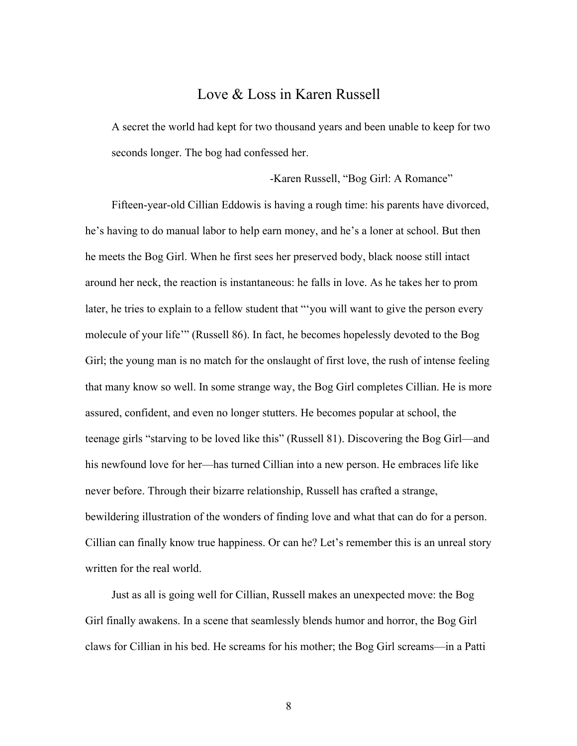#### Love & Loss in Karen Russell

A secret the world had kept for two thousand years and been unable to keep for two seconds longer. The bog had confessed her.

-Karen Russell, "Bog Girl: A Romance"

Fifteen-year-old Cillian Eddowis is having a rough time: his parents have divorced, he's having to do manual labor to help earn money, and he's a loner at school. But then he meets the Bog Girl. When he first sees her preserved body, black noose still intact around her neck, the reaction is instantaneous: he falls in love. As he takes her to prom later, he tries to explain to a fellow student that "'you will want to give the person every molecule of your life'" (Russell 86). In fact, he becomes hopelessly devoted to the Bog Girl; the young man is no match for the onslaught of first love, the rush of intense feeling that many know so well. In some strange way, the Bog Girl completes Cillian. He is more assured, confident, and even no longer stutters. He becomes popular at school, the teenage girls "starving to be loved like this" (Russell 81). Discovering the Bog Girl—and his newfound love for her—has turned Cillian into a new person. He embraces life like never before. Through their bizarre relationship, Russell has crafted a strange, bewildering illustration of the wonders of finding love and what that can do for a person. Cillian can finally know true happiness. Or can he? Let's remember this is an unreal story written for the real world.

Just as all is going well for Cillian, Russell makes an unexpected move: the Bog Girl finally awakens. In a scene that seamlessly blends humor and horror, the Bog Girl claws for Cillian in his bed. He screams for his mother; the Bog Girl screams—in a Patti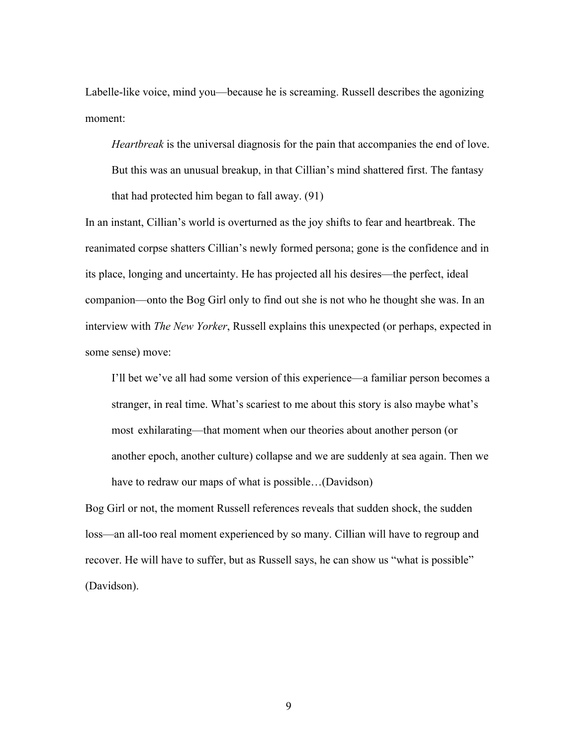Labelle-like voice, mind you—because he is screaming. Russell describes the agonizing moment:

*Heartbreak* is the universal diagnosis for the pain that accompanies the end of love.

But this was an unusual breakup, in that Cillian's mind shattered first. The fantasy that had protected him began to fall away. (91)

In an instant, Cillian's world is overturned as the joy shifts to fear and heartbreak. The reanimated corpse shatters Cillian's newly formed persona; gone is the confidence and in its place, longing and uncertainty. He has projected all his desires—the perfect, ideal companion—onto the Bog Girl only to find out she is not who he thought she was. In an interview with *The New Yorker*, Russell explains this unexpected (or perhaps, expected in some sense) move:

I'll bet we've all had some version of this experience—a familiar person becomes a stranger, in real time. What's scariest to me about this story is also maybe what's most exhilarating—that moment when our theories about another person (or another epoch, another culture) collapse and we are suddenly at sea again. Then we have to redraw our maps of what is possible…(Davidson)

Bog Girl or not, the moment Russell references reveals that sudden shock, the sudden loss—an all-too real moment experienced by so many. Cillian will have to regroup and recover. He will have to suffer, but as Russell says, he can show us "what is possible" (Davidson).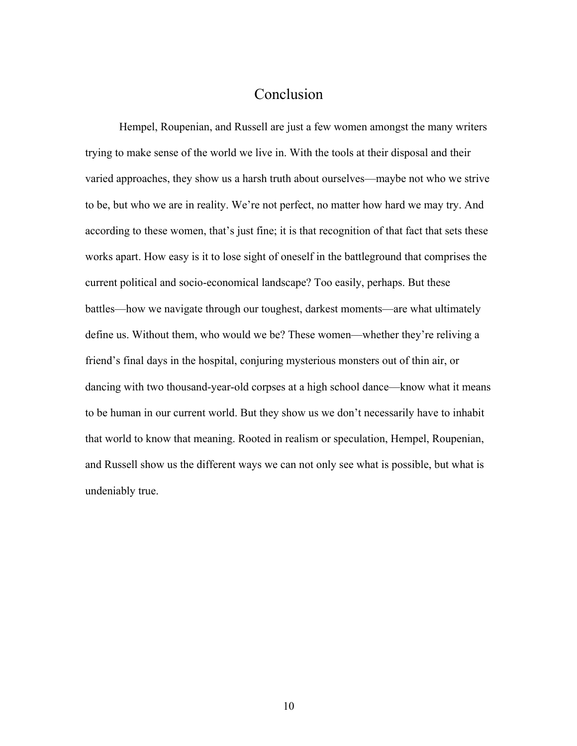## Conclusion

Hempel, Roupenian, and Russell are just a few women amongst the many writers trying to make sense of the world we live in. With the tools at their disposal and their varied approaches, they show us a harsh truth about ourselves—maybe not who we strive to be, but who we are in reality. We're not perfect, no matter how hard we may try. And according to these women, that's just fine; it is that recognition of that fact that sets these works apart. How easy is it to lose sight of oneself in the battleground that comprises the current political and socio-economical landscape? Too easily, perhaps. But these battles—how we navigate through our toughest, darkest moments—are what ultimately define us. Without them, who would we be? These women—whether they're reliving a friend's final days in the hospital, conjuring mysterious monsters out of thin air, or dancing with two thousand-year-old corpses at a high school dance—know what it means to be human in our current world. But they show us we don't necessarily have to inhabit that world to know that meaning. Rooted in realism or speculation, Hempel, Roupenian, and Russell show us the different ways we can not only see what is possible, but what is undeniably true.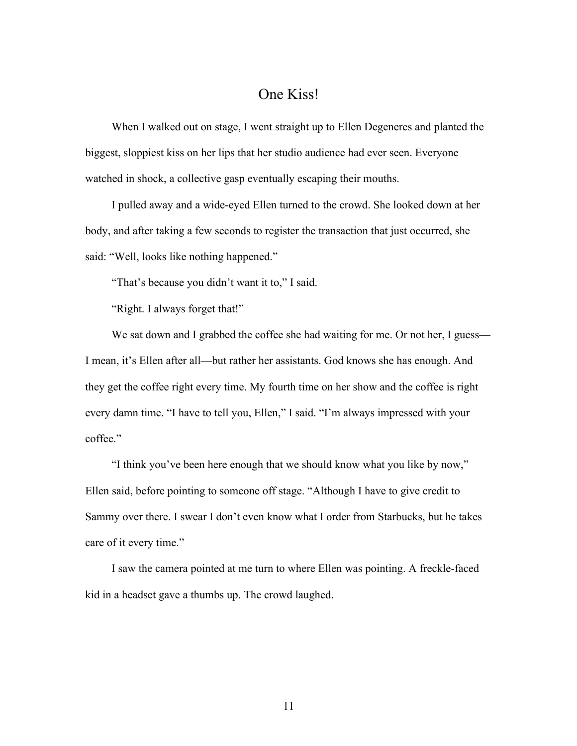### One Kiss!

When I walked out on stage, I went straight up to Ellen Degeneres and planted the biggest, sloppiest kiss on her lips that her studio audience had ever seen. Everyone watched in shock, a collective gasp eventually escaping their mouths.

I pulled away and a wide-eyed Ellen turned to the crowd. She looked down at her body, and after taking a few seconds to register the transaction that just occurred, she said: "Well, looks like nothing happened."

"That's because you didn't want it to," I said.

"Right. I always forget that!"

We sat down and I grabbed the coffee she had waiting for me. Or not her, I guess— I mean, it's Ellen after all—but rather her assistants. God knows she has enough. And they get the coffee right every time. My fourth time on her show and the coffee is right every damn time. "I have to tell you, Ellen," I said. "I'm always impressed with your coffee."

"I think you've been here enough that we should know what you like by now," Ellen said, before pointing to someone off stage. "Although I have to give credit to Sammy over there. I swear I don't even know what I order from Starbucks, but he takes care of it every time."

I saw the camera pointed at me turn to where Ellen was pointing. A freckle-faced kid in a headset gave a thumbs up. The crowd laughed.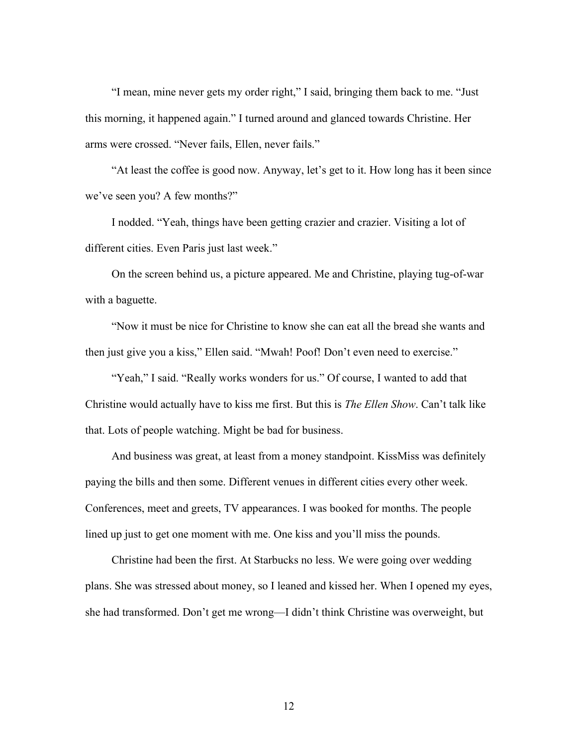"I mean, mine never gets my order right," I said, bringing them back to me. "Just this morning, it happened again." I turned around and glanced towards Christine. Her arms were crossed. "Never fails, Ellen, never fails."

"At least the coffee is good now. Anyway, let's get to it. How long has it been since we've seen you? A few months?"

I nodded. "Yeah, things have been getting crazier and crazier. Visiting a lot of different cities. Even Paris just last week."

On the screen behind us, a picture appeared. Me and Christine, playing tug-of-war with a baguette.

"Now it must be nice for Christine to know she can eat all the bread she wants and then just give you a kiss," Ellen said. "Mwah! Poof! Don't even need to exercise."

"Yeah," I said. "Really works wonders for us." Of course, I wanted to add that Christine would actually have to kiss me first. But this is *The Ellen Show*. Can't talk like that. Lots of people watching. Might be bad for business.

And business was great, at least from a money standpoint. KissMiss was definitely paying the bills and then some. Different venues in different cities every other week. Conferences, meet and greets, TV appearances. I was booked for months. The people lined up just to get one moment with me. One kiss and you'll miss the pounds.

Christine had been the first. At Starbucks no less. We were going over wedding plans. She was stressed about money, so I leaned and kissed her. When I opened my eyes, she had transformed. Don't get me wrong—I didn't think Christine was overweight, but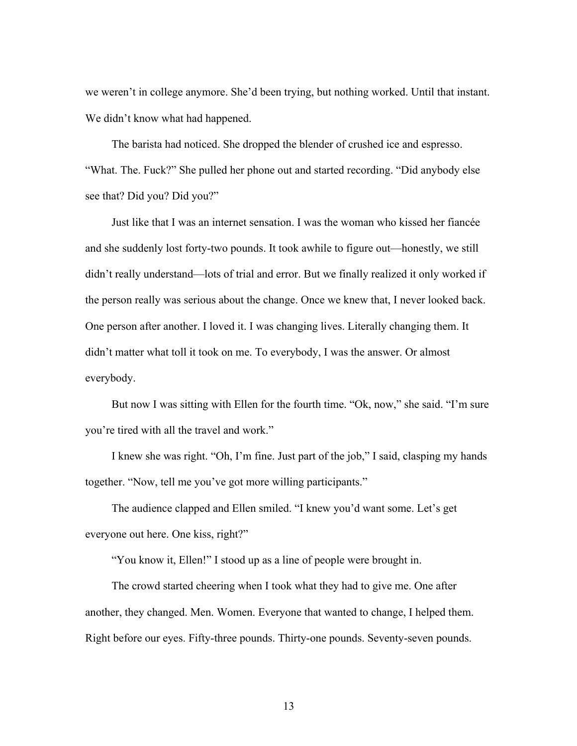we weren't in college anymore. She'd been trying, but nothing worked. Until that instant. We didn't know what had happened.

The barista had noticed. She dropped the blender of crushed ice and espresso. "What. The. Fuck?" She pulled her phone out and started recording. "Did anybody else see that? Did you? Did you?"

Just like that I was an internet sensation. I was the woman who kissed her fiancée and she suddenly lost forty-two pounds. It took awhile to figure out—honestly, we still didn't really understand—lots of trial and error. But we finally realized it only worked if the person really was serious about the change. Once we knew that, I never looked back. One person after another. I loved it. I was changing lives. Literally changing them. It didn't matter what toll it took on me. To everybody, I was the answer. Or almost everybody.

But now I was sitting with Ellen for the fourth time. "Ok, now," she said. "I'm sure you're tired with all the travel and work."

I knew she was right. "Oh, I'm fine. Just part of the job," I said, clasping my hands together. "Now, tell me you've got more willing participants."

The audience clapped and Ellen smiled. "I knew you'd want some. Let's get everyone out here. One kiss, right?"

"You know it, Ellen!" I stood up as a line of people were brought in.

The crowd started cheering when I took what they had to give me. One after another, they changed. Men. Women. Everyone that wanted to change, I helped them. Right before our eyes. Fifty-three pounds. Thirty-one pounds. Seventy-seven pounds.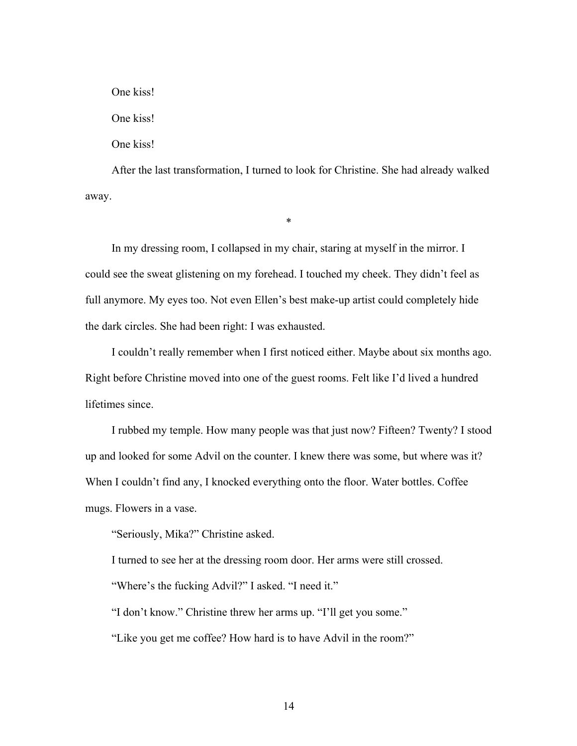One kiss! One kiss! One kiss!

After the last transformation, I turned to look for Christine. She had already walked away.

\*

In my dressing room, I collapsed in my chair, staring at myself in the mirror. I could see the sweat glistening on my forehead. I touched my cheek. They didn't feel as full anymore. My eyes too. Not even Ellen's best make-up artist could completely hide the dark circles. She had been right: I was exhausted.

I couldn't really remember when I first noticed either. Maybe about six months ago. Right before Christine moved into one of the guest rooms. Felt like I'd lived a hundred lifetimes since.

I rubbed my temple. How many people was that just now? Fifteen? Twenty? I stood up and looked for some Advil on the counter. I knew there was some, but where was it? When I couldn't find any, I knocked everything onto the floor. Water bottles. Coffee mugs. Flowers in a vase.

"Seriously, Mika?" Christine asked.

I turned to see her at the dressing room door. Her arms were still crossed.

"Where's the fucking Advil?" I asked. "I need it."

"I don't know." Christine threw her arms up. "I'll get you some."

"Like you get me coffee? How hard is to have Advil in the room?"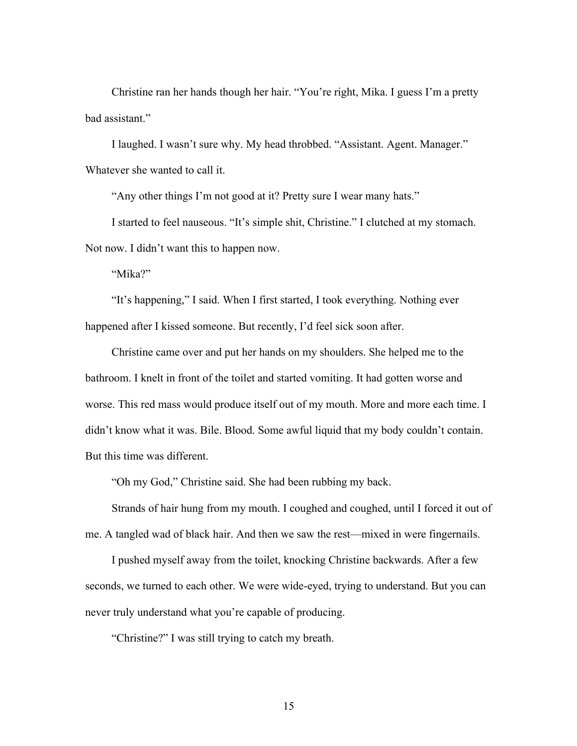Christine ran her hands though her hair. "You're right, Mika. I guess I'm a pretty bad assistant."

I laughed. I wasn't sure why. My head throbbed. "Assistant. Agent. Manager." Whatever she wanted to call it.

"Any other things I'm not good at it? Pretty sure I wear many hats."

I started to feel nauseous. "It's simple shit, Christine." I clutched at my stomach. Not now. I didn't want this to happen now.

"Mika?"

"It's happening," I said. When I first started, I took everything. Nothing ever happened after I kissed someone. But recently, I'd feel sick soon after.

Christine came over and put her hands on my shoulders. She helped me to the bathroom. I knelt in front of the toilet and started vomiting. It had gotten worse and worse. This red mass would produce itself out of my mouth. More and more each time. I didn't know what it was. Bile. Blood. Some awful liquid that my body couldn't contain. But this time was different.

"Oh my God," Christine said. She had been rubbing my back.

Strands of hair hung from my mouth. I coughed and coughed, until I forced it out of me. A tangled wad of black hair. And then we saw the rest—mixed in were fingernails.

I pushed myself away from the toilet, knocking Christine backwards. After a few seconds, we turned to each other. We were wide-eyed, trying to understand. But you can never truly understand what you're capable of producing.

"Christine?" I was still trying to catch my breath.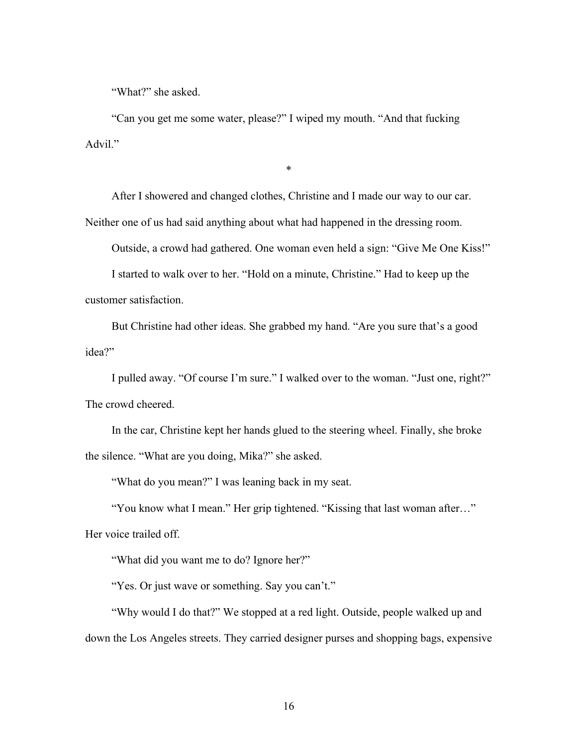"What?" she asked.

"Can you get me some water, please?" I wiped my mouth. "And that fucking Advil."

After I showered and changed clothes, Christine and I made our way to our car. Neither one of us had said anything about what had happened in the dressing room.

\*

Outside, a crowd had gathered. One woman even held a sign: "Give Me One Kiss!"

I started to walk over to her. "Hold on a minute, Christine." Had to keep up the customer satisfaction.

But Christine had other ideas. She grabbed my hand. "Are you sure that's a good idea?"

I pulled away. "Of course I'm sure." I walked over to the woman. "Just one, right?" The crowd cheered.

In the car, Christine kept her hands glued to the steering wheel. Finally, she broke the silence. "What are you doing, Mika?" she asked.

"What do you mean?" I was leaning back in my seat.

"You know what I mean." Her grip tightened. "Kissing that last woman after…"

Her voice trailed off.

"What did you want me to do? Ignore her?"

"Yes. Or just wave or something. Say you can't."

"Why would I do that?" We stopped at a red light. Outside, people walked up and down the Los Angeles streets. They carried designer purses and shopping bags, expensive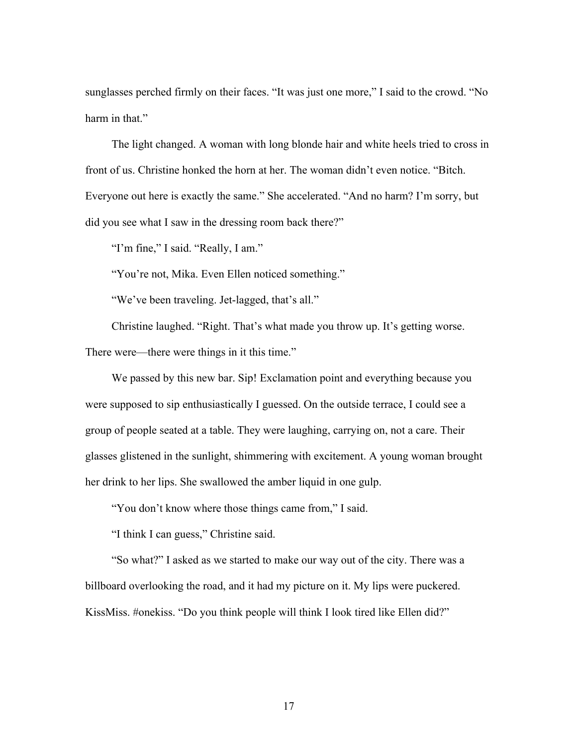sunglasses perched firmly on their faces. "It was just one more," I said to the crowd. "No harm in that."

The light changed. A woman with long blonde hair and white heels tried to cross in front of us. Christine honked the horn at her. The woman didn't even notice. "Bitch. Everyone out here is exactly the same." She accelerated. "And no harm? I'm sorry, but did you see what I saw in the dressing room back there?"

"I'm fine," I said. "Really, I am."

"You're not, Mika. Even Ellen noticed something."

"We've been traveling. Jet-lagged, that's all."

Christine laughed. "Right. That's what made you throw up. It's getting worse. There were—there were things in it this time."

We passed by this new bar. Sip! Exclamation point and everything because you were supposed to sip enthusiastically I guessed. On the outside terrace, I could see a group of people seated at a table. They were laughing, carrying on, not a care. Their glasses glistened in the sunlight, shimmering with excitement. A young woman brought her drink to her lips. She swallowed the amber liquid in one gulp.

"You don't know where those things came from," I said.

"I think I can guess," Christine said.

"So what?" I asked as we started to make our way out of the city. There was a billboard overlooking the road, and it had my picture on it. My lips were puckered. KissMiss. #onekiss. "Do you think people will think I look tired like Ellen did?"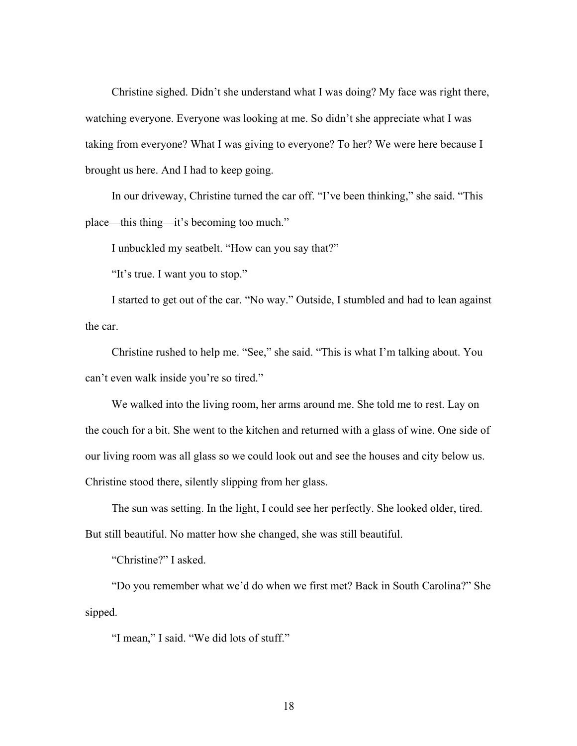Christine sighed. Didn't she understand what I was doing? My face was right there, watching everyone. Everyone was looking at me. So didn't she appreciate what I was taking from everyone? What I was giving to everyone? To her? We were here because I brought us here. And I had to keep going.

In our driveway, Christine turned the car off. "I've been thinking," she said. "This place—this thing—it's becoming too much."

I unbuckled my seatbelt. "How can you say that?"

"It's true. I want you to stop."

I started to get out of the car. "No way." Outside, I stumbled and had to lean against the car.

Christine rushed to help me. "See," she said. "This is what I'm talking about. You can't even walk inside you're so tired."

We walked into the living room, her arms around me. She told me to rest. Lay on the couch for a bit. She went to the kitchen and returned with a glass of wine. One side of our living room was all glass so we could look out and see the houses and city below us. Christine stood there, silently slipping from her glass.

The sun was setting. In the light, I could see her perfectly. She looked older, tired. But still beautiful. No matter how she changed, she was still beautiful.

"Christine?" I asked.

"Do you remember what we'd do when we first met? Back in South Carolina?" She sipped.

"I mean," I said. "We did lots of stuff."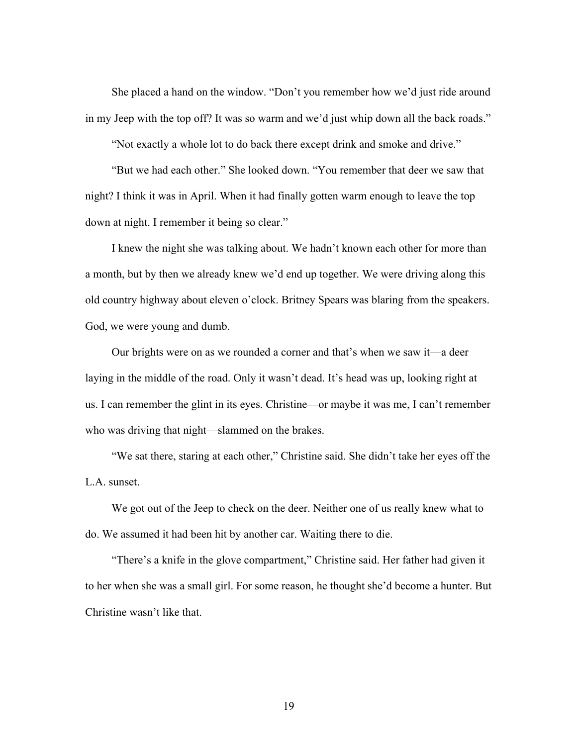She placed a hand on the window. "Don't you remember how we'd just ride around in my Jeep with the top off? It was so warm and we'd just whip down all the back roads."

"Not exactly a whole lot to do back there except drink and smoke and drive."

"But we had each other." She looked down. "You remember that deer we saw that night? I think it was in April. When it had finally gotten warm enough to leave the top down at night. I remember it being so clear."

I knew the night she was talking about. We hadn't known each other for more than a month, but by then we already knew we'd end up together. We were driving along this old country highway about eleven o'clock. Britney Spears was blaring from the speakers. God, we were young and dumb.

Our brights were on as we rounded a corner and that's when we saw it—a deer laying in the middle of the road. Only it wasn't dead. It's head was up, looking right at us. I can remember the glint in its eyes. Christine—or maybe it was me, I can't remember who was driving that night—slammed on the brakes.

"We sat there, staring at each other," Christine said. She didn't take her eyes off the L.A. sunset.

We got out of the Jeep to check on the deer. Neither one of us really knew what to do. We assumed it had been hit by another car. Waiting there to die.

"There's a knife in the glove compartment," Christine said. Her father had given it to her when she was a small girl. For some reason, he thought she'd become a hunter. But Christine wasn't like that.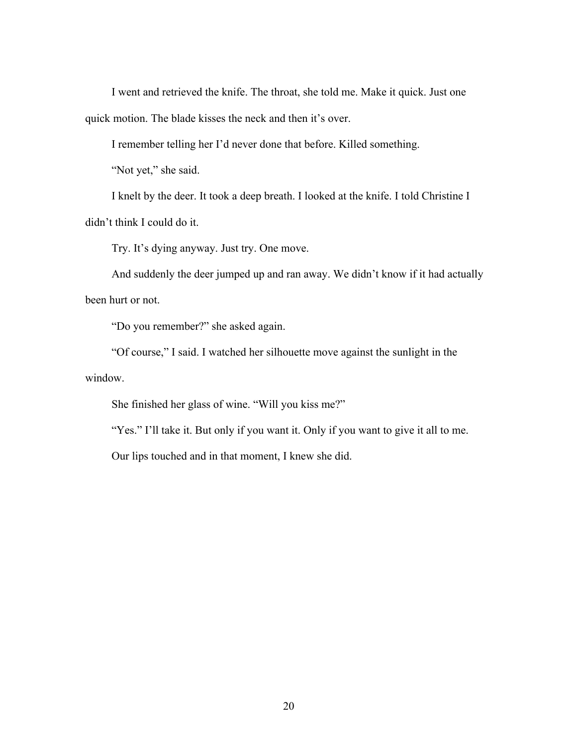I went and retrieved the knife. The throat, she told me. Make it quick. Just one quick motion. The blade kisses the neck and then it's over.

I remember telling her I'd never done that before. Killed something.

"Not yet," she said.

I knelt by the deer. It took a deep breath. I looked at the knife. I told Christine I didn't think I could do it.

Try. It's dying anyway. Just try. One move.

And suddenly the deer jumped up and ran away. We didn't know if it had actually been hurt or not.

"Do you remember?" she asked again.

"Of course," I said. I watched her silhouette move against the sunlight in the window.

She finished her glass of wine. "Will you kiss me?"

"Yes." I'll take it. But only if you want it. Only if you want to give it all to me.

Our lips touched and in that moment, I knew she did.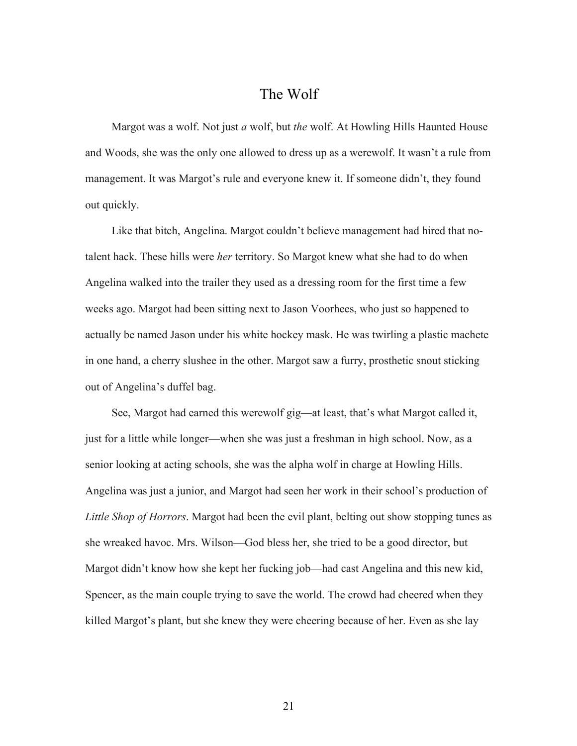## The Wolf

Margot was a wolf. Not just *a* wolf, but *the* wolf. At Howling Hills Haunted House and Woods, she was the only one allowed to dress up as a werewolf. It wasn't a rule from management. It was Margot's rule and everyone knew it. If someone didn't, they found out quickly.

Like that bitch, Angelina. Margot couldn't believe management had hired that notalent hack. These hills were *her* territory. So Margot knew what she had to do when Angelina walked into the trailer they used as a dressing room for the first time a few weeks ago. Margot had been sitting next to Jason Voorhees, who just so happened to actually be named Jason under his white hockey mask. He was twirling a plastic machete in one hand, a cherry slushee in the other. Margot saw a furry, prosthetic snout sticking out of Angelina's duffel bag.

See, Margot had earned this werewolf gig—at least, that's what Margot called it, just for a little while longer—when she was just a freshman in high school. Now, as a senior looking at acting schools, she was the alpha wolf in charge at Howling Hills. Angelina was just a junior, and Margot had seen her work in their school's production of *Little Shop of Horrors*. Margot had been the evil plant, belting out show stopping tunes as she wreaked havoc. Mrs. Wilson—God bless her, she tried to be a good director, but Margot didn't know how she kept her fucking job—had cast Angelina and this new kid, Spencer, as the main couple trying to save the world. The crowd had cheered when they killed Margot's plant, but she knew they were cheering because of her. Even as she lay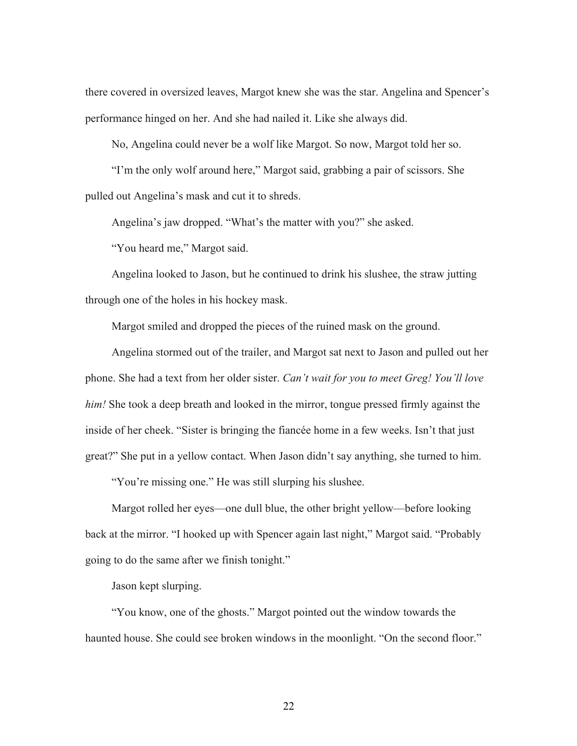there covered in oversized leaves, Margot knew she was the star. Angelina and Spencer's performance hinged on her. And she had nailed it. Like she always did.

No, Angelina could never be a wolf like Margot. So now, Margot told her so.

"I'm the only wolf around here," Margot said, grabbing a pair of scissors. She pulled out Angelina's mask and cut it to shreds.

Angelina's jaw dropped. "What's the matter with you?" she asked.

"You heard me," Margot said.

Angelina looked to Jason, but he continued to drink his slushee, the straw jutting through one of the holes in his hockey mask.

Margot smiled and dropped the pieces of the ruined mask on the ground.

Angelina stormed out of the trailer, and Margot sat next to Jason and pulled out her phone. She had a text from her older sister. *Can't wait for you to meet Greg! You'll love him!* She took a deep breath and looked in the mirror, tongue pressed firmly against the inside of her cheek. "Sister is bringing the fiancée home in a few weeks. Isn't that just great?" She put in a yellow contact. When Jason didn't say anything, she turned to him.

"You're missing one." He was still slurping his slushee.

Margot rolled her eyes—one dull blue, the other bright yellow—before looking back at the mirror. "I hooked up with Spencer again last night," Margot said. "Probably going to do the same after we finish tonight."

Jason kept slurping.

"You know, one of the ghosts." Margot pointed out the window towards the haunted house. She could see broken windows in the moonlight. "On the second floor."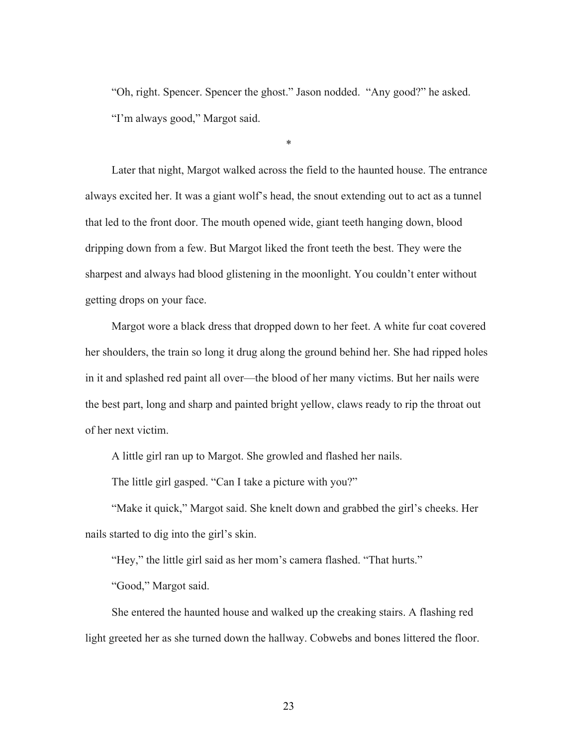"Oh, right. Spencer. Spencer the ghost." Jason nodded. "Any good?" he asked. "I'm always good," Margot said.

\*

Later that night, Margot walked across the field to the haunted house. The entrance always excited her. It was a giant wolf's head, the snout extending out to act as a tunnel that led to the front door. The mouth opened wide, giant teeth hanging down, blood dripping down from a few. But Margot liked the front teeth the best. They were the sharpest and always had blood glistening in the moonlight. You couldn't enter without getting drops on your face.

Margot wore a black dress that dropped down to her feet. A white fur coat covered her shoulders, the train so long it drug along the ground behind her. She had ripped holes in it and splashed red paint all over—the blood of her many victims. But her nails were the best part, long and sharp and painted bright yellow, claws ready to rip the throat out of her next victim.

A little girl ran up to Margot. She growled and flashed her nails.

The little girl gasped. "Can I take a picture with you?"

"Make it quick," Margot said. She knelt down and grabbed the girl's cheeks. Her nails started to dig into the girl's skin.

"Hey," the little girl said as her mom's camera flashed. "That hurts."

"Good," Margot said.

She entered the haunted house and walked up the creaking stairs. A flashing red light greeted her as she turned down the hallway. Cobwebs and bones littered the floor.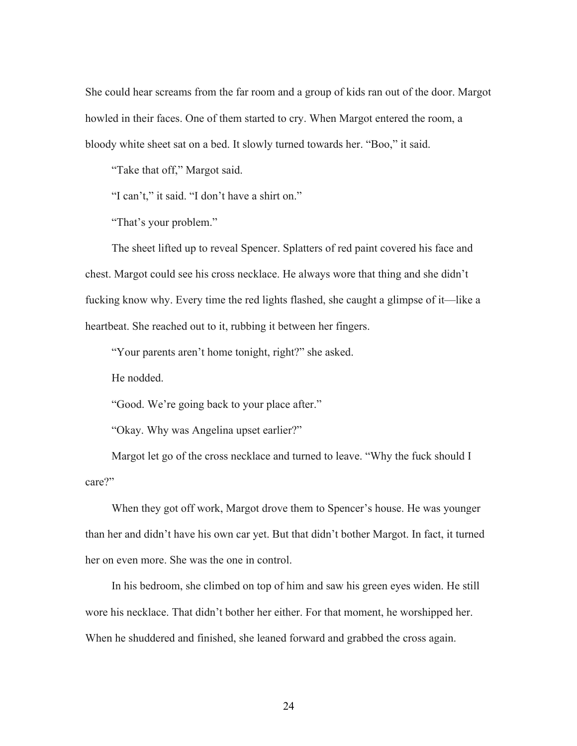She could hear screams from the far room and a group of kids ran out of the door. Margot howled in their faces. One of them started to cry. When Margot entered the room, a bloody white sheet sat on a bed. It slowly turned towards her. "Boo," it said.

"Take that off," Margot said.

"I can't," it said. "I don't have a shirt on."

"That's your problem."

The sheet lifted up to reveal Spencer. Splatters of red paint covered his face and chest. Margot could see his cross necklace. He always wore that thing and she didn't fucking know why. Every time the red lights flashed, she caught a glimpse of it—like a heartbeat. She reached out to it, rubbing it between her fingers.

"Your parents aren't home tonight, right?" she asked.

He nodded.

"Good. We're going back to your place after."

"Okay. Why was Angelina upset earlier?"

Margot let go of the cross necklace and turned to leave. "Why the fuck should I care?"

When they got off work, Margot drove them to Spencer's house. He was younger than her and didn't have his own car yet. But that didn't bother Margot. In fact, it turned her on even more. She was the one in control.

In his bedroom, she climbed on top of him and saw his green eyes widen. He still wore his necklace. That didn't bother her either. For that moment, he worshipped her. When he shuddered and finished, she leaned forward and grabbed the cross again.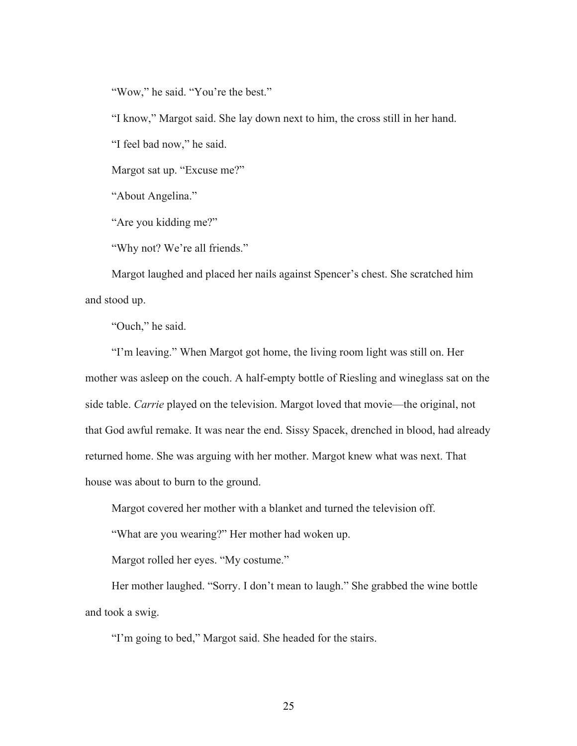"Wow," he said. "You're the best."

"I know," Margot said. She lay down next to him, the cross still in her hand.

"I feel bad now," he said.

Margot sat up. "Excuse me?"

"About Angelina."

"Are you kidding me?"

"Why not? We're all friends."

Margot laughed and placed her nails against Spencer's chest. She scratched him and stood up.

"Ouch," he said.

"I'm leaving." When Margot got home, the living room light was still on. Her mother was asleep on the couch. A half-empty bottle of Riesling and wineglass sat on the side table. *Carrie* played on the television. Margot loved that movie—the original, not that God awful remake. It was near the end. Sissy Spacek, drenched in blood, had already returned home. She was arguing with her mother. Margot knew what was next. That house was about to burn to the ground.

Margot covered her mother with a blanket and turned the television off.

"What are you wearing?" Her mother had woken up.

Margot rolled her eyes. "My costume."

Her mother laughed. "Sorry. I don't mean to laugh." She grabbed the wine bottle and took a swig.

"I'm going to bed," Margot said. She headed for the stairs.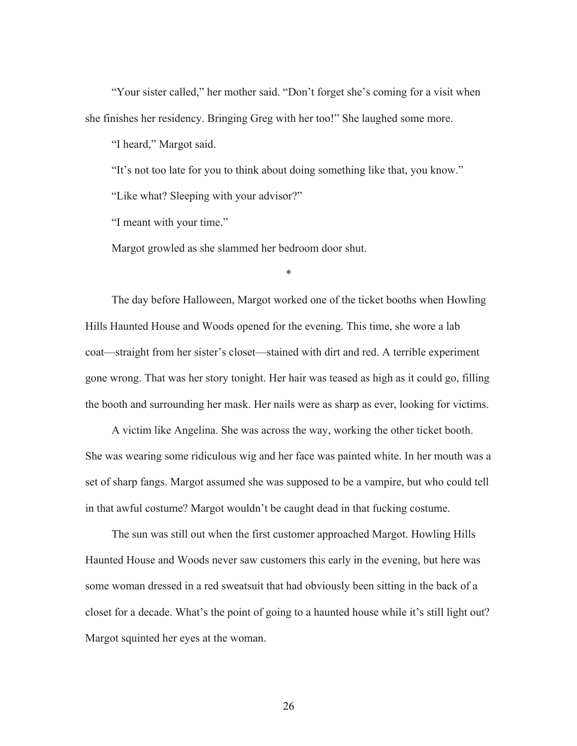"Your sister called," her mother said. "Don't forget she's coming for a visit when she finishes her residency. Bringing Greg with her too!" She laughed some more.

"I heard," Margot said.

"It's not too late for you to think about doing something like that, you know."

"Like what? Sleeping with your advisor?"

"I meant with your time."

Margot growled as she slammed her bedroom door shut.

The day before Halloween, Margot worked one of the ticket booths when Howling Hills Haunted House and Woods opened for the evening. This time, she wore a lab coat—straight from her sister's closet—stained with dirt and red. A terrible experiment gone wrong. That was her story tonight. Her hair was teased as high as it could go, filling the booth and surrounding her mask. Her nails were as sharp as ever, looking for victims.

\*

A victim like Angelina. She was across the way, working the other ticket booth. She was wearing some ridiculous wig and her face was painted white. In her mouth was a set of sharp fangs. Margot assumed she was supposed to be a vampire, but who could tell in that awful costume? Margot wouldn't be caught dead in that fucking costume.

The sun was still out when the first customer approached Margot. Howling Hills Haunted House and Woods never saw customers this early in the evening, but here was some woman dressed in a red sweatsuit that had obviously been sitting in the back of a closet for a decade. What's the point of going to a haunted house while it's still light out? Margot squinted her eyes at the woman.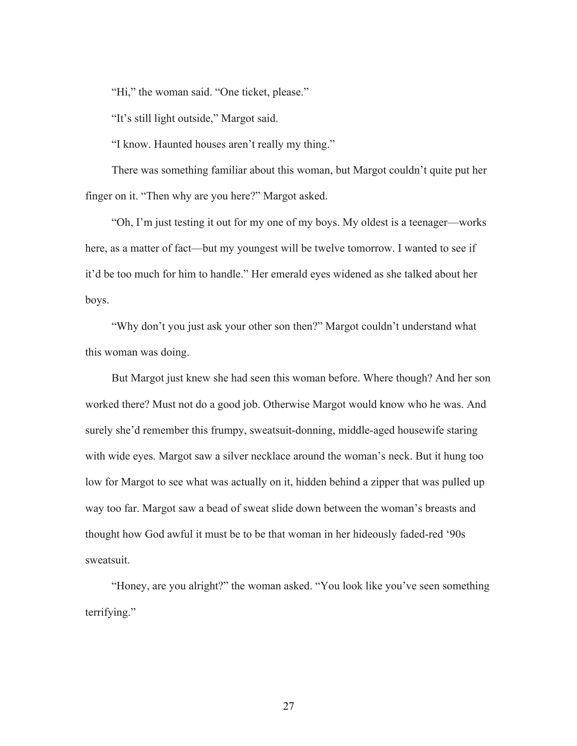"Hi," the woman said. "One ticket, please."

"It's still light outside," Margot said.

"I know. Haunted houses aren't really my thing."

There was something familiar about this woman, but Margot couldn't quite put her finger on it. "Then why are you here?" Margot asked.

"Oh, I'm just testing it out for my one of my boys. My oldest is a teenager—works here, as a matter of fact—but my youngest will be twelve tomorrow. I wanted to see if it'd be too much for him to handle." Her emerald eyes widened as she talked about her boys.

"Why don't you just ask your other son then?" Margot couldn't understand what this woman was doing.

But Margot just knew she had seen this woman before. Where though? And her son worked there? Must not do a good job. Otherwise Margot would know who he was. And surely she'd remember this frumpy, sweatsuit-donning, middle-aged housewife staring with wide eyes. Margot saw a silver necklace around the woman's neck. But it hung too low for Margot to see what was actually on it, hidden behind a zipper that was pulled up way too far. Margot saw a bead of sweat slide down between the woman's breasts and thought how God awful it must be to be that woman in her hideously faded-red '90s sweatsuit.

"Honey, are you alright?" the woman asked. "You look like you've seen something terrifying."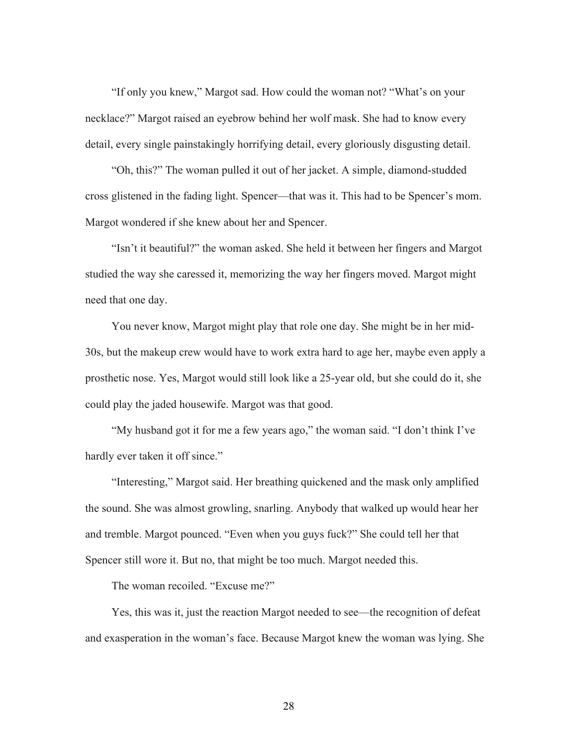"If only you knew," Margot sad. How could the woman not? "What's on your necklace?" Margot raised an eyebrow behind her wolf mask. She had to know every detail, every single painstakingly horrifying detail, every gloriously disgusting detail.

"Oh, this?" The woman pulled it out of her jacket. A simple, diamond-studded cross glistened in the fading light. Spencer—that was it. This had to be Spencer's mom. Margot wondered if she knew about her and Spencer.

"Isn't it beautiful?" the woman asked. She held it between her fingers and Margot studied the way she caressed it, memorizing the way her fingers moved. Margot might need that one day.

You never know, Margot might play that role one day. She might be in her mid-30s, but the makeup crew would have to work extra hard to age her, maybe even apply a prosthetic nose. Yes, Margot would still look like a 25-year old, but she could do it, she could play the jaded housewife. Margot was that good.

"My husband got it for me a few years ago," the woman said. "I don't think I've hardly ever taken it off since."

"Interesting," Margot said. Her breathing quickened and the mask only amplified the sound. She was almost growling, snarling. Anybody that walked up would hear her and tremble. Margot pounced. "Even when you guys fuck?" She could tell her that Spencer still wore it. But no, that might be too much. Margot needed this.

The woman recoiled. "Excuse me?"

Yes, this was it, just the reaction Margot needed to see—the recognition of defeat and exasperation in the woman's face. Because Margot knew the woman was lying. She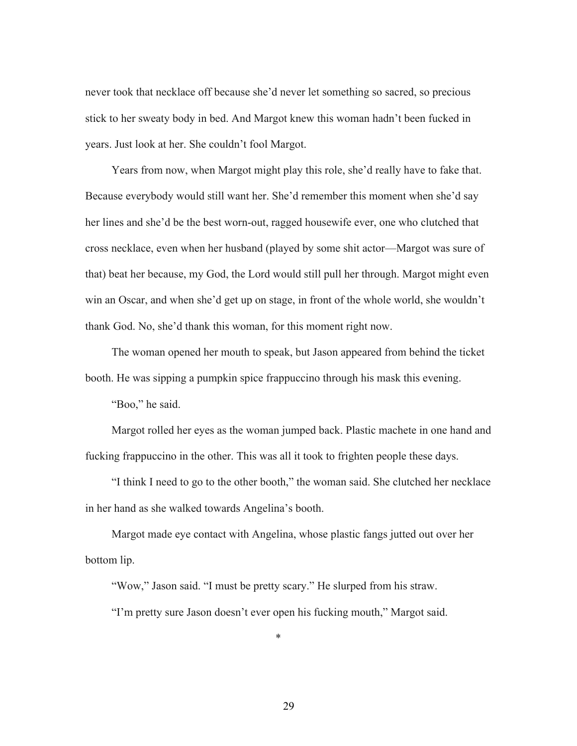never took that necklace off because she'd never let something so sacred, so precious stick to her sweaty body in bed. And Margot knew this woman hadn't been fucked in years. Just look at her. She couldn't fool Margot.

Years from now, when Margot might play this role, she'd really have to fake that. Because everybody would still want her. She'd remember this moment when she'd say her lines and she'd be the best worn-out, ragged housewife ever, one who clutched that cross necklace, even when her husband (played by some shit actor—Margot was sure of that) beat her because, my God, the Lord would still pull her through. Margot might even win an Oscar, and when she'd get up on stage, in front of the whole world, she wouldn't thank God. No, she'd thank this woman, for this moment right now.

The woman opened her mouth to speak, but Jason appeared from behind the ticket booth. He was sipping a pumpkin spice frappuccino through his mask this evening.

"Boo," he said.

Margot rolled her eyes as the woman jumped back. Plastic machete in one hand and fucking frappuccino in the other. This was all it took to frighten people these days.

"I think I need to go to the other booth," the woman said. She clutched her necklace in her hand as she walked towards Angelina's booth.

Margot made eye contact with Angelina, whose plastic fangs jutted out over her bottom lip.

"Wow," Jason said. "I must be pretty scary." He slurped from his straw.

"I'm pretty sure Jason doesn't ever open his fucking mouth," Margot said.

\*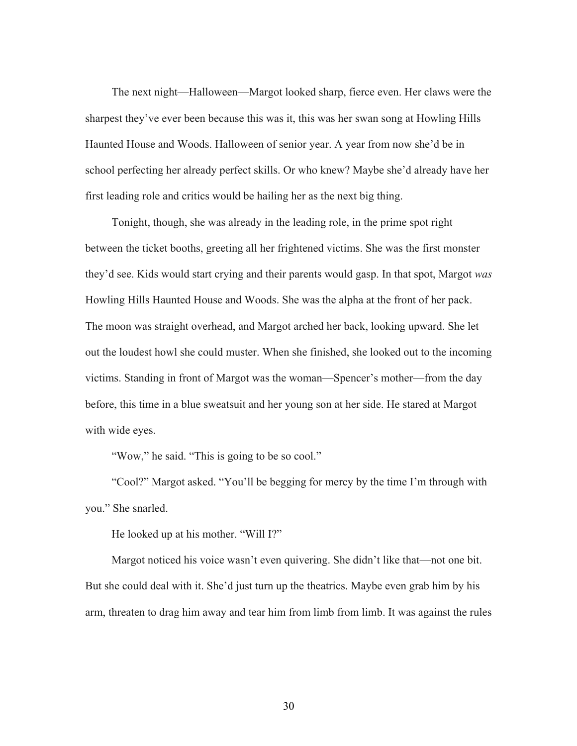The next night—Halloween—Margot looked sharp, fierce even. Her claws were the sharpest they've ever been because this was it, this was her swan song at Howling Hills Haunted House and Woods. Halloween of senior year. A year from now she'd be in school perfecting her already perfect skills. Or who knew? Maybe she'd already have her first leading role and critics would be hailing her as the next big thing.

Tonight, though, she was already in the leading role, in the prime spot right between the ticket booths, greeting all her frightened victims. She was the first monster they'd see. Kids would start crying and their parents would gasp. In that spot, Margot *was*  Howling Hills Haunted House and Woods. She was the alpha at the front of her pack. The moon was straight overhead, and Margot arched her back, looking upward. She let out the loudest howl she could muster. When she finished, she looked out to the incoming victims. Standing in front of Margot was the woman—Spencer's mother—from the day before, this time in a blue sweatsuit and her young son at her side. He stared at Margot with wide eyes.

"Wow," he said. "This is going to be so cool."

"Cool?" Margot asked. "You'll be begging for mercy by the time I'm through with you." She snarled.

He looked up at his mother. "Will I?"

Margot noticed his voice wasn't even quivering. She didn't like that—not one bit. But she could deal with it. She'd just turn up the theatrics. Maybe even grab him by his arm, threaten to drag him away and tear him from limb from limb. It was against the rules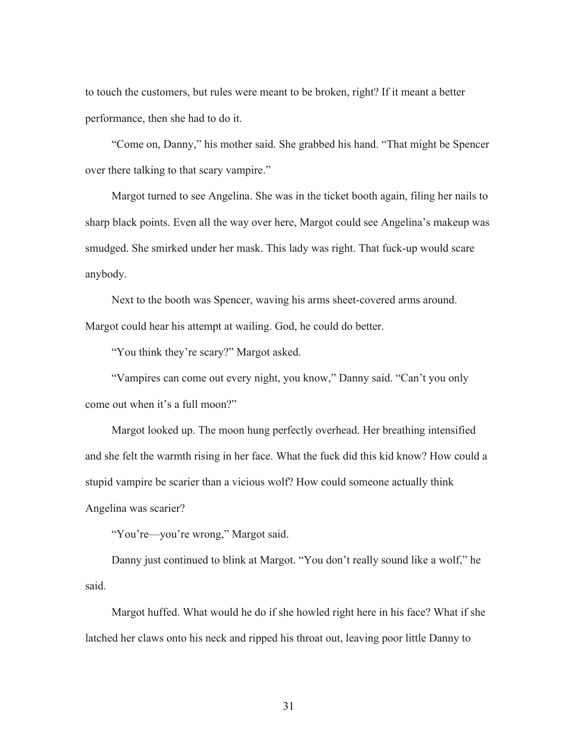to touch the customers, but rules were meant to be broken, right? If it meant a better performance, then she had to do it.

"Come on, Danny," his mother said. She grabbed his hand. "That might be Spencer over there talking to that scary vampire."

Margot turned to see Angelina. She was in the ticket booth again, filing her nails to sharp black points. Even all the way over here, Margot could see Angelina's makeup was smudged. She smirked under her mask. This lady was right. That fuck-up would scare anybody.

Next to the booth was Spencer, waving his arms sheet-covered arms around. Margot could hear his attempt at wailing. God, he could do better.

"You think they're scary?" Margot asked.

"Vampires can come out every night, you know," Danny said. "Can't you only come out when it's a full moon?"

Margot looked up. The moon hung perfectly overhead. Her breathing intensified and she felt the warmth rising in her face. What the fuck did this kid know? How could a stupid vampire be scarier than a vicious wolf? How could someone actually think Angelina was scarier?

"You're—you're wrong," Margot said.

Danny just continued to blink at Margot. "You don't really sound like a wolf," he said.

Margot huffed. What would he do if she howled right here in his face? What if she latched her claws onto his neck and ripped his throat out, leaving poor little Danny to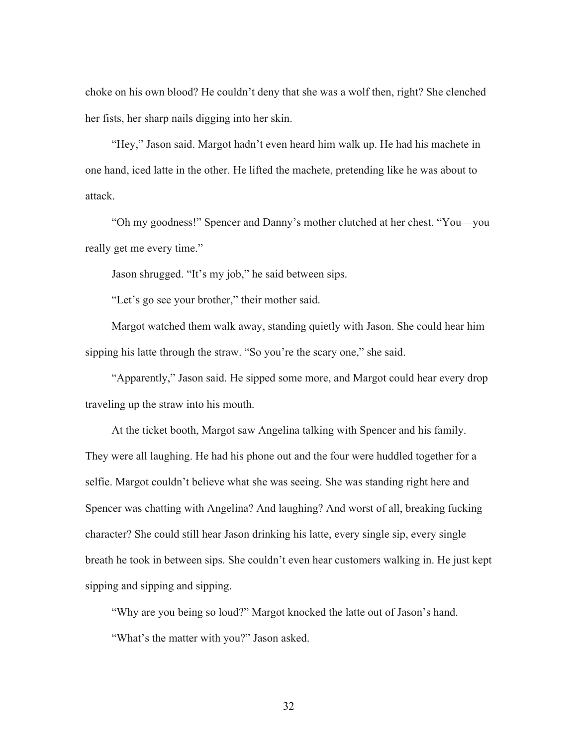choke on his own blood? He couldn't deny that she was a wolf then, right? She clenched her fists, her sharp nails digging into her skin.

"Hey," Jason said. Margot hadn't even heard him walk up. He had his machete in one hand, iced latte in the other. He lifted the machete, pretending like he was about to attack.

"Oh my goodness!" Spencer and Danny's mother clutched at her chest. "You—you really get me every time."

Jason shrugged. "It's my job," he said between sips.

"Let's go see your brother," their mother said.

Margot watched them walk away, standing quietly with Jason. She could hear him sipping his latte through the straw. "So you're the scary one," she said.

"Apparently," Jason said. He sipped some more, and Margot could hear every drop traveling up the straw into his mouth.

At the ticket booth, Margot saw Angelina talking with Spencer and his family. They were all laughing. He had his phone out and the four were huddled together for a selfie. Margot couldn't believe what she was seeing. She was standing right here and Spencer was chatting with Angelina? And laughing? And worst of all, breaking fucking character? She could still hear Jason drinking his latte, every single sip, every single breath he took in between sips. She couldn't even hear customers walking in. He just kept sipping and sipping and sipping.

"Why are you being so loud?" Margot knocked the latte out of Jason's hand. "What's the matter with you?" Jason asked.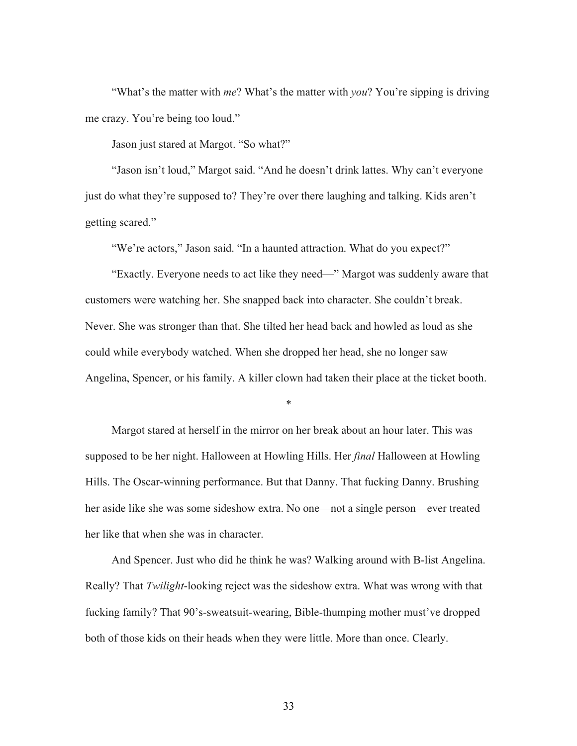"What's the matter with *me*? What's the matter with *you*? You're sipping is driving me crazy. You're being too loud."

Jason just stared at Margot. "So what?"

"Jason isn't loud," Margot said. "And he doesn't drink lattes. Why can't everyone just do what they're supposed to? They're over there laughing and talking. Kids aren't getting scared."

"We're actors," Jason said. "In a haunted attraction. What do you expect?"

"Exactly. Everyone needs to act like they need—" Margot was suddenly aware that customers were watching her. She snapped back into character. She couldn't break. Never. She was stronger than that. She tilted her head back and howled as loud as she could while everybody watched. When she dropped her head, she no longer saw Angelina, Spencer, or his family. A killer clown had taken their place at the ticket booth.

\*

Margot stared at herself in the mirror on her break about an hour later. This was supposed to be her night. Halloween at Howling Hills. Her *final* Halloween at Howling Hills. The Oscar-winning performance. But that Danny. That fucking Danny. Brushing her aside like she was some sideshow extra. No one—not a single person—ever treated her like that when she was in character.

And Spencer. Just who did he think he was? Walking around with B-list Angelina. Really? That *Twilight*-looking reject was the sideshow extra. What was wrong with that fucking family? That 90's-sweatsuit-wearing, Bible-thumping mother must've dropped both of those kids on their heads when they were little. More than once. Clearly.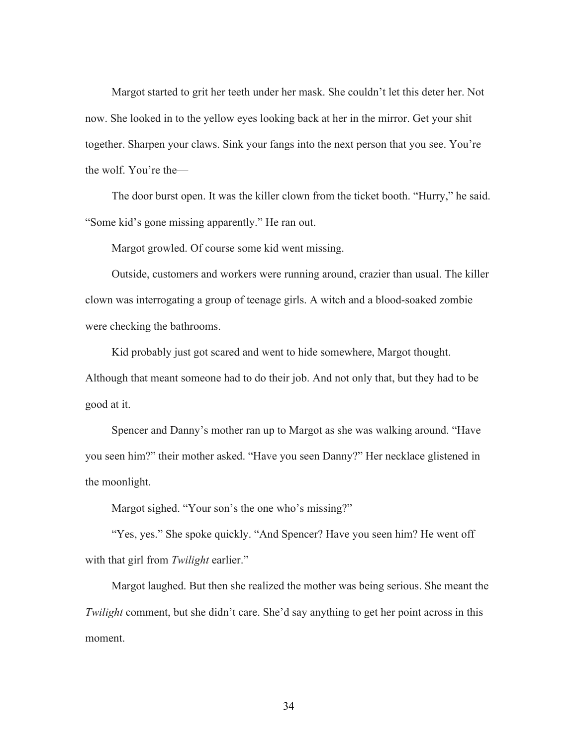Margot started to grit her teeth under her mask. She couldn't let this deter her. Not now. She looked in to the yellow eyes looking back at her in the mirror. Get your shit together. Sharpen your claws. Sink your fangs into the next person that you see. You're the wolf. You're the—

The door burst open. It was the killer clown from the ticket booth. "Hurry," he said. "Some kid's gone missing apparently." He ran out.

Margot growled. Of course some kid went missing.

Outside, customers and workers were running around, crazier than usual. The killer clown was interrogating a group of teenage girls. A witch and a blood-soaked zombie were checking the bathrooms.

Kid probably just got scared and went to hide somewhere, Margot thought. Although that meant someone had to do their job. And not only that, but they had to be good at it.

Spencer and Danny's mother ran up to Margot as she was walking around. "Have you seen him?" their mother asked. "Have you seen Danny?" Her necklace glistened in the moonlight.

Margot sighed. "Your son's the one who's missing?"

"Yes, yes." She spoke quickly. "And Spencer? Have you seen him? He went off with that girl from *Twilight* earlier."

Margot laughed. But then she realized the mother was being serious. She meant the *Twilight* comment, but she didn't care. She'd say anything to get her point across in this moment.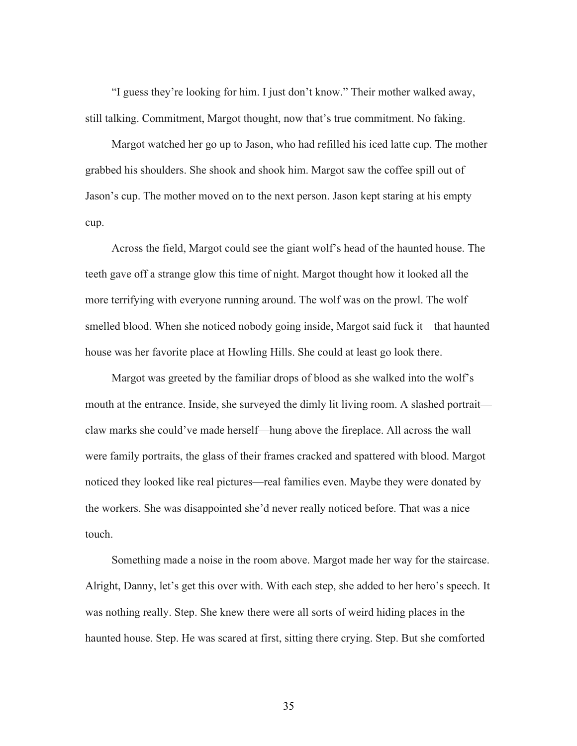"I guess they're looking for him. I just don't know." Their mother walked away, still talking. Commitment, Margot thought, now that's true commitment. No faking.

Margot watched her go up to Jason, who had refilled his iced latte cup. The mother grabbed his shoulders. She shook and shook him. Margot saw the coffee spill out of Jason's cup. The mother moved on to the next person. Jason kept staring at his empty cup.

Across the field, Margot could see the giant wolf's head of the haunted house. The teeth gave off a strange glow this time of night. Margot thought how it looked all the more terrifying with everyone running around. The wolf was on the prowl. The wolf smelled blood. When she noticed nobody going inside, Margot said fuck it—that haunted house was her favorite place at Howling Hills. She could at least go look there.

Margot was greeted by the familiar drops of blood as she walked into the wolf's mouth at the entrance. Inside, she surveyed the dimly lit living room. A slashed portrait claw marks she could've made herself—hung above the fireplace. All across the wall were family portraits, the glass of their frames cracked and spattered with blood. Margot noticed they looked like real pictures—real families even. Maybe they were donated by the workers. She was disappointed she'd never really noticed before. That was a nice touch.

Something made a noise in the room above. Margot made her way for the staircase. Alright, Danny, let's get this over with. With each step, she added to her hero's speech. It was nothing really. Step. She knew there were all sorts of weird hiding places in the haunted house. Step. He was scared at first, sitting there crying. Step. But she comforted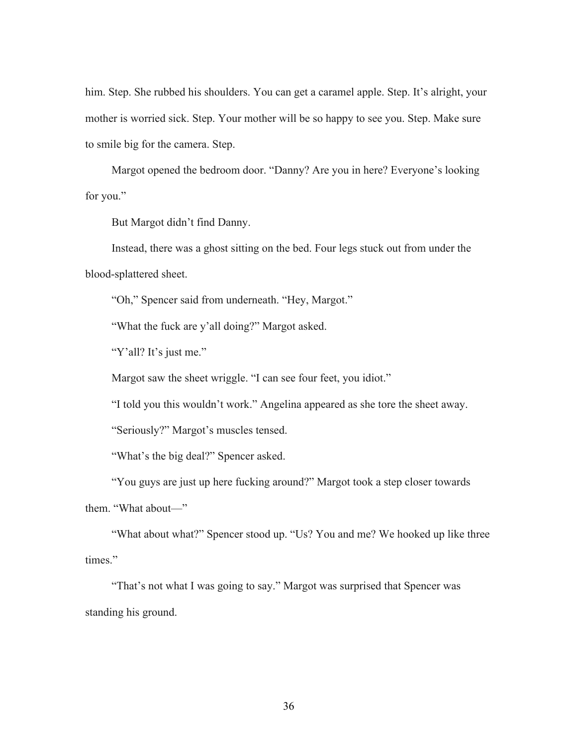him. Step. She rubbed his shoulders. You can get a caramel apple. Step. It's alright, your mother is worried sick. Step. Your mother will be so happy to see you. Step. Make sure to smile big for the camera. Step.

Margot opened the bedroom door. "Danny? Are you in here? Everyone's looking for you."

But Margot didn't find Danny.

Instead, there was a ghost sitting on the bed. Four legs stuck out from under the blood-splattered sheet.

"Oh," Spencer said from underneath. "Hey, Margot."

"What the fuck are y'all doing?" Margot asked.

"Y'all? It's just me."

Margot saw the sheet wriggle. "I can see four feet, you idiot."

"I told you this wouldn't work." Angelina appeared as she tore the sheet away.

"Seriously?" Margot's muscles tensed.

"What's the big deal?" Spencer asked.

"You guys are just up here fucking around?" Margot took a step closer towards them. "What about—"

"What about what?" Spencer stood up. "Us? You and me? We hooked up like three times."

"That's not what I was going to say." Margot was surprised that Spencer was standing his ground.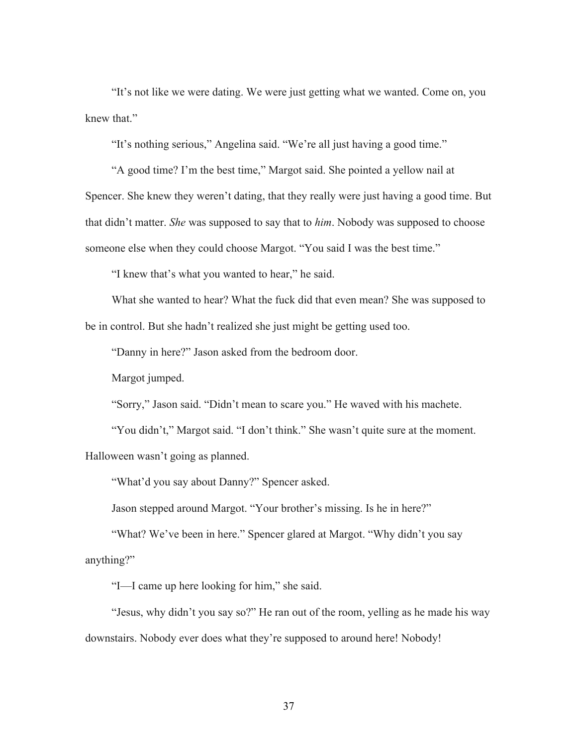"It's not like we were dating. We were just getting what we wanted. Come on, you knew that."

"It's nothing serious," Angelina said. "We're all just having a good time."

"A good time? I'm the best time," Margot said. She pointed a yellow nail at Spencer. She knew they weren't dating, that they really were just having a good time. But that didn't matter. *She* was supposed to say that to *him*. Nobody was supposed to choose someone else when they could choose Margot. "You said I was the best time."

"I knew that's what you wanted to hear," he said.

What she wanted to hear? What the fuck did that even mean? She was supposed to be in control. But she hadn't realized she just might be getting used too.

"Danny in here?" Jason asked from the bedroom door.

Margot jumped.

"Sorry," Jason said. "Didn't mean to scare you." He waved with his machete.

"You didn't," Margot said. "I don't think." She wasn't quite sure at the moment.

Halloween wasn't going as planned.

"What'd you say about Danny?" Spencer asked.

Jason stepped around Margot. "Your brother's missing. Is he in here?"

"What? We've been in here." Spencer glared at Margot. "Why didn't you say anything?"

"I—I came up here looking for him," she said.

"Jesus, why didn't you say so?" He ran out of the room, yelling as he made his way downstairs. Nobody ever does what they're supposed to around here! Nobody!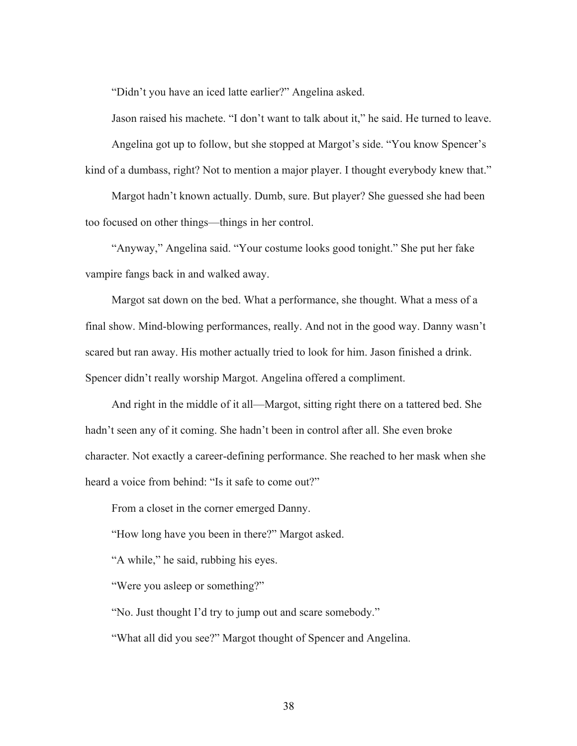"Didn't you have an iced latte earlier?" Angelina asked.

Jason raised his machete. "I don't want to talk about it," he said. He turned to leave. Angelina got up to follow, but she stopped at Margot's side. "You know Spencer's kind of a dumbass, right? Not to mention a major player. I thought everybody knew that."

Margot hadn't known actually. Dumb, sure. But player? She guessed she had been too focused on other things—things in her control.

"Anyway," Angelina said. "Your costume looks good tonight." She put her fake vampire fangs back in and walked away.

Margot sat down on the bed. What a performance, she thought. What a mess of a final show. Mind-blowing performances, really. And not in the good way. Danny wasn't scared but ran away. His mother actually tried to look for him. Jason finished a drink. Spencer didn't really worship Margot. Angelina offered a compliment.

And right in the middle of it all—Margot, sitting right there on a tattered bed. She hadn't seen any of it coming. She hadn't been in control after all. She even broke character. Not exactly a career-defining performance. She reached to her mask when she heard a voice from behind: "Is it safe to come out?"

From a closet in the corner emerged Danny.

"How long have you been in there?" Margot asked.

"A while," he said, rubbing his eyes.

"Were you asleep or something?"

"No. Just thought I'd try to jump out and scare somebody."

"What all did you see?" Margot thought of Spencer and Angelina.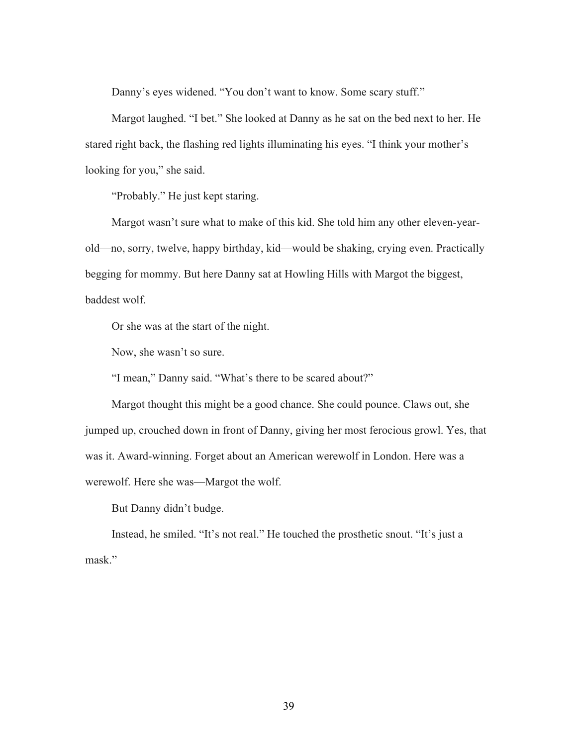Danny's eyes widened. "You don't want to know. Some scary stuff."

Margot laughed. "I bet." She looked at Danny as he sat on the bed next to her. He stared right back, the flashing red lights illuminating his eyes. "I think your mother's looking for you," she said.

"Probably." He just kept staring.

Margot wasn't sure what to make of this kid. She told him any other eleven-yearold—no, sorry, twelve, happy birthday, kid—would be shaking, crying even. Practically begging for mommy. But here Danny sat at Howling Hills with Margot the biggest, baddest wolf.

Or she was at the start of the night.

Now, she wasn't so sure.

"I mean," Danny said. "What's there to be scared about?"

Margot thought this might be a good chance. She could pounce. Claws out, she jumped up, crouched down in front of Danny, giving her most ferocious growl. Yes, that was it. Award-winning. Forget about an American werewolf in London. Here was a werewolf. Here she was—Margot the wolf.

But Danny didn't budge.

Instead, he smiled. "It's not real." He touched the prosthetic snout. "It's just a mask."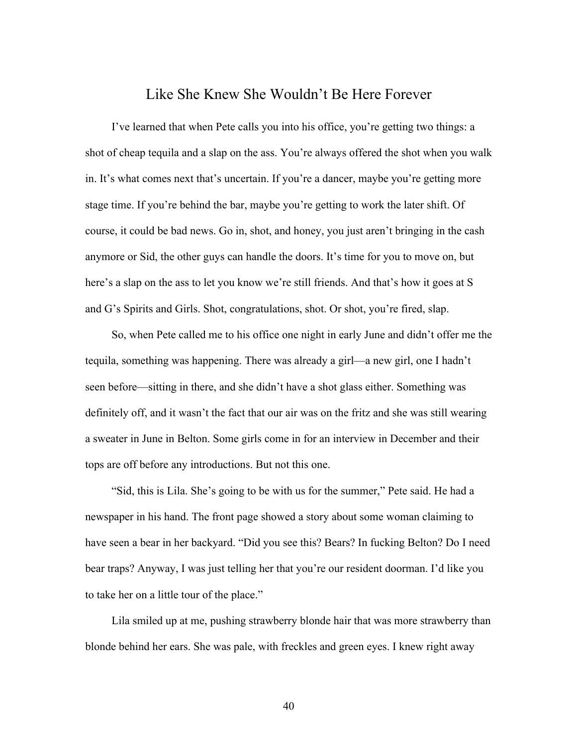## Like She Knew She Wouldn't Be Here Forever

I've learned that when Pete calls you into his office, you're getting two things: a shot of cheap tequila and a slap on the ass. You're always offered the shot when you walk in. It's what comes next that's uncertain. If you're a dancer, maybe you're getting more stage time. If you're behind the bar, maybe you're getting to work the later shift. Of course, it could be bad news. Go in, shot, and honey, you just aren't bringing in the cash anymore or Sid, the other guys can handle the doors. It's time for you to move on, but here's a slap on the ass to let you know we're still friends. And that's how it goes at S and G's Spirits and Girls. Shot, congratulations, shot. Or shot, you're fired, slap.

So, when Pete called me to his office one night in early June and didn't offer me the tequila, something was happening. There was already a girl—a new girl, one I hadn't seen before—sitting in there, and she didn't have a shot glass either. Something was definitely off, and it wasn't the fact that our air was on the fritz and she was still wearing a sweater in June in Belton. Some girls come in for an interview in December and their tops are off before any introductions. But not this one.

"Sid, this is Lila. She's going to be with us for the summer," Pete said. He had a newspaper in his hand. The front page showed a story about some woman claiming to have seen a bear in her backyard. "Did you see this? Bears? In fucking Belton? Do I need bear traps? Anyway, I was just telling her that you're our resident doorman. I'd like you to take her on a little tour of the place."

Lila smiled up at me, pushing strawberry blonde hair that was more strawberry than blonde behind her ears. She was pale, with freckles and green eyes. I knew right away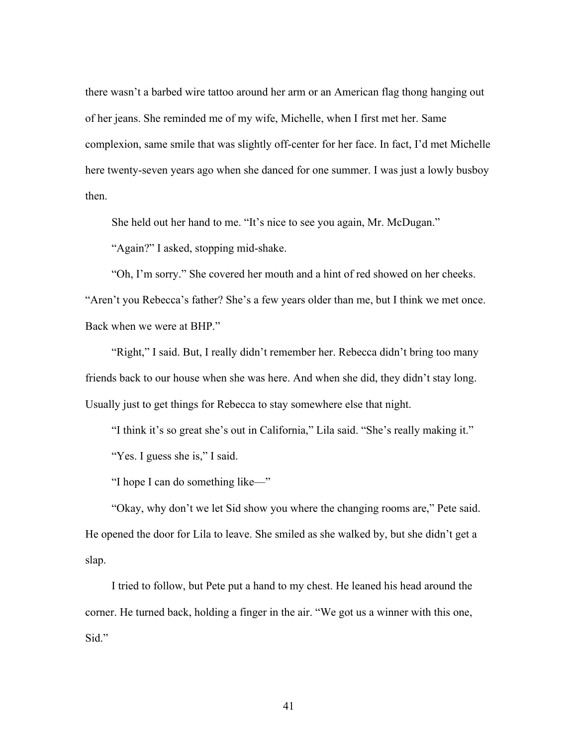there wasn't a barbed wire tattoo around her arm or an American flag thong hanging out of her jeans. She reminded me of my wife, Michelle, when I first met her. Same complexion, same smile that was slightly off-center for her face. In fact, I'd met Michelle here twenty-seven years ago when she danced for one summer. I was just a lowly busboy then.

She held out her hand to me. "It's nice to see you again, Mr. McDugan."

"Again?" I asked, stopping mid-shake.

"Oh, I'm sorry." She covered her mouth and a hint of red showed on her cheeks. "Aren't you Rebecca's father? She's a few years older than me, but I think we met once. Back when we were at BHP."

"Right," I said. But, I really didn't remember her. Rebecca didn't bring too many friends back to our house when she was here. And when she did, they didn't stay long. Usually just to get things for Rebecca to stay somewhere else that night.

"I think it's so great she's out in California," Lila said. "She's really making it."

"Yes. I guess she is," I said.

"I hope I can do something like—"

"Okay, why don't we let Sid show you where the changing rooms are," Pete said. He opened the door for Lila to leave. She smiled as she walked by, but she didn't get a slap.

I tried to follow, but Pete put a hand to my chest. He leaned his head around the corner. He turned back, holding a finger in the air. "We got us a winner with this one, Sid."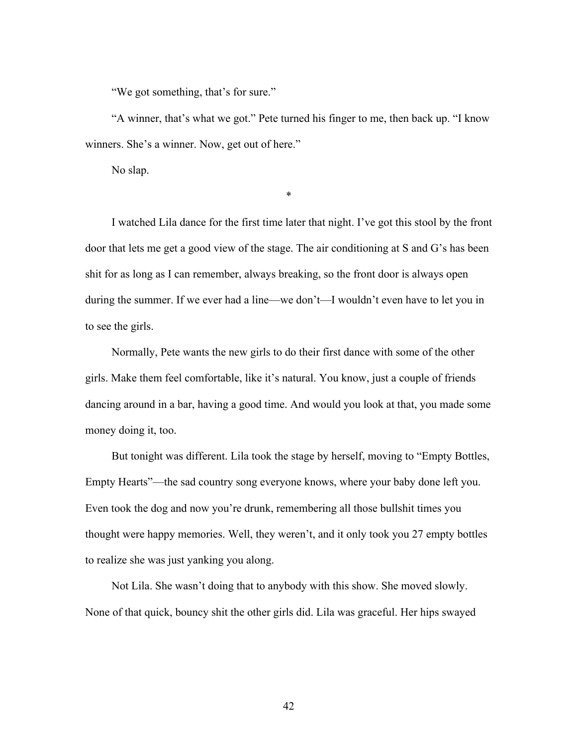"We got something, that's for sure."

"A winner, that's what we got." Pete turned his finger to me, then back up. "I know winners. She's a winner. Now, get out of here."

No slap.

\*

I watched Lila dance for the first time later that night. I've got this stool by the front door that lets me get a good view of the stage. The air conditioning at S and G's has been shit for as long as I can remember, always breaking, so the front door is always open during the summer. If we ever had a line—we don't—I wouldn't even have to let you in to see the girls.

Normally, Pete wants the new girls to do their first dance with some of the other girls. Make them feel comfortable, like it's natural. You know, just a couple of friends dancing around in a bar, having a good time. And would you look at that, you made some money doing it, too.

But tonight was different. Lila took the stage by herself, moving to "Empty Bottles, Empty Hearts"—the sad country song everyone knows, where your baby done left you. Even took the dog and now you're drunk, remembering all those bullshit times you thought were happy memories. Well, they weren't, and it only took you 27 empty bottles to realize she was just yanking you along.

Not Lila. She wasn't doing that to anybody with this show. She moved slowly. None of that quick, bouncy shit the other girls did. Lila was graceful. Her hips swayed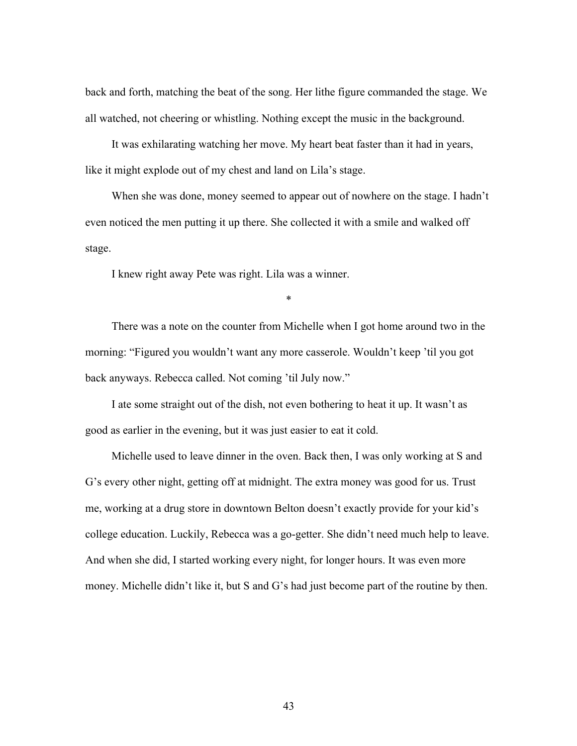back and forth, matching the beat of the song. Her lithe figure commanded the stage. We all watched, not cheering or whistling. Nothing except the music in the background.

It was exhilarating watching her move. My heart beat faster than it had in years, like it might explode out of my chest and land on Lila's stage.

When she was done, money seemed to appear out of nowhere on the stage. I hadn't even noticed the men putting it up there. She collected it with a smile and walked off stage.

I knew right away Pete was right. Lila was a winner.

There was a note on the counter from Michelle when I got home around two in the morning: "Figured you wouldn't want any more casserole. Wouldn't keep 'til you got back anyways. Rebecca called. Not coming 'til July now."

\*

I ate some straight out of the dish, not even bothering to heat it up. It wasn't as good as earlier in the evening, but it was just easier to eat it cold.

Michelle used to leave dinner in the oven. Back then, I was only working at S and G's every other night, getting off at midnight. The extra money was good for us. Trust me, working at a drug store in downtown Belton doesn't exactly provide for your kid's college education. Luckily, Rebecca was a go-getter. She didn't need much help to leave. And when she did, I started working every night, for longer hours. It was even more money. Michelle didn't like it, but S and G's had just become part of the routine by then.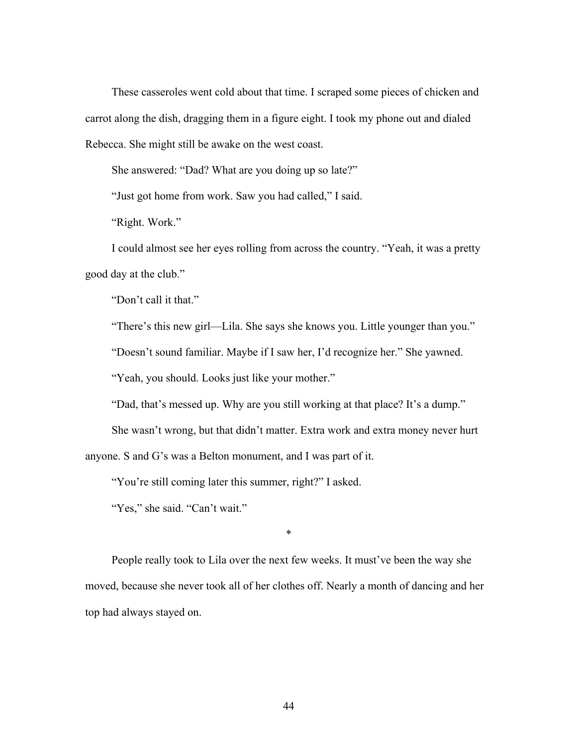These casseroles went cold about that time. I scraped some pieces of chicken and carrot along the dish, dragging them in a figure eight. I took my phone out and dialed Rebecca. She might still be awake on the west coast.

She answered: "Dad? What are you doing up so late?"

"Just got home from work. Saw you had called," I said.

"Right. Work."

I could almost see her eyes rolling from across the country. "Yeah, it was a pretty good day at the club."

"Don't call it that."

"There's this new girl—Lila. She says she knows you. Little younger than you."

"Doesn't sound familiar. Maybe if I saw her, I'd recognize her." She yawned.

"Yeah, you should. Looks just like your mother."

"Dad, that's messed up. Why are you still working at that place? It's a dump."

She wasn't wrong, but that didn't matter. Extra work and extra money never hurt

anyone. S and G's was a Belton monument, and I was part of it.

"You're still coming later this summer, right?" I asked.

"Yes," she said. "Can't wait."

\*

People really took to Lila over the next few weeks. It must've been the way she moved, because she never took all of her clothes off. Nearly a month of dancing and her top had always stayed on.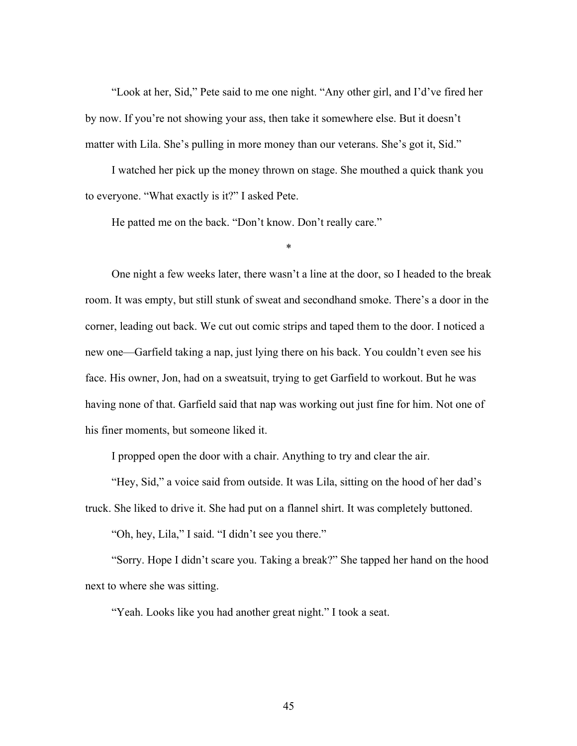"Look at her, Sid," Pete said to me one night. "Any other girl, and I'd've fired her by now. If you're not showing your ass, then take it somewhere else. But it doesn't matter with Lila. She's pulling in more money than our veterans. She's got it, Sid."

I watched her pick up the money thrown on stage. She mouthed a quick thank you to everyone. "What exactly is it?" I asked Pete.

He patted me on the back. "Don't know. Don't really care."

\*

One night a few weeks later, there wasn't a line at the door, so I headed to the break room. It was empty, but still stunk of sweat and secondhand smoke. There's a door in the corner, leading out back. We cut out comic strips and taped them to the door. I noticed a new one—Garfield taking a nap, just lying there on his back. You couldn't even see his face. His owner, Jon, had on a sweatsuit, trying to get Garfield to workout. But he was having none of that. Garfield said that nap was working out just fine for him. Not one of his finer moments, but someone liked it.

I propped open the door with a chair. Anything to try and clear the air.

"Hey, Sid," a voice said from outside. It was Lila, sitting on the hood of her dad's truck. She liked to drive it. She had put on a flannel shirt. It was completely buttoned.

"Oh, hey, Lila," I said. "I didn't see you there."

"Sorry. Hope I didn't scare you. Taking a break?" She tapped her hand on the hood next to where she was sitting.

"Yeah. Looks like you had another great night." I took a seat.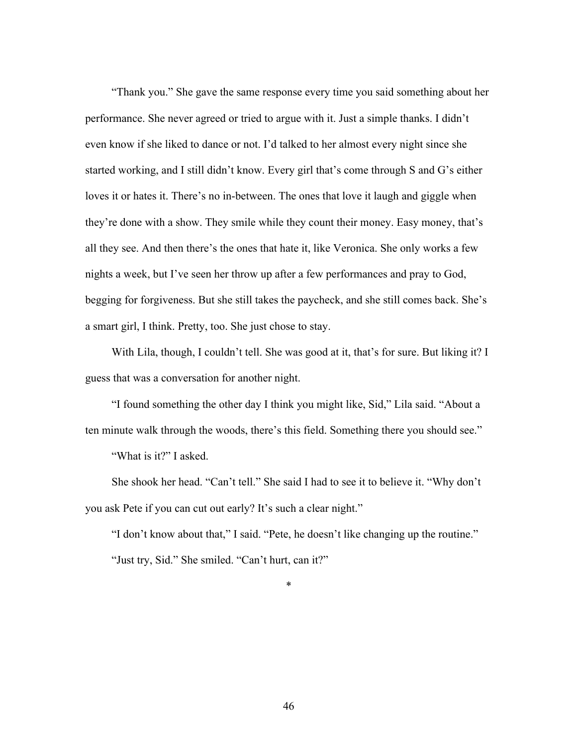"Thank you." She gave the same response every time you said something about her performance. She never agreed or tried to argue with it. Just a simple thanks. I didn't even know if she liked to dance or not. I'd talked to her almost every night since she started working, and I still didn't know. Every girl that's come through S and G's either loves it or hates it. There's no in-between. The ones that love it laugh and giggle when they're done with a show. They smile while they count their money. Easy money, that's all they see. And then there's the ones that hate it, like Veronica. She only works a few nights a week, but I've seen her throw up after a few performances and pray to God, begging for forgiveness. But she still takes the paycheck, and she still comes back. She's a smart girl, I think. Pretty, too. She just chose to stay.

With Lila, though, I couldn't tell. She was good at it, that's for sure. But liking it? I guess that was a conversation for another night.

"I found something the other day I think you might like, Sid," Lila said. "About a ten minute walk through the woods, there's this field. Something there you should see."

"What is it?" I asked.

She shook her head. "Can't tell." She said I had to see it to believe it. "Why don't you ask Pete if you can cut out early? It's such a clear night."

"I don't know about that," I said. "Pete, he doesn't like changing up the routine." "Just try, Sid." She smiled. "Can't hurt, can it?"

\*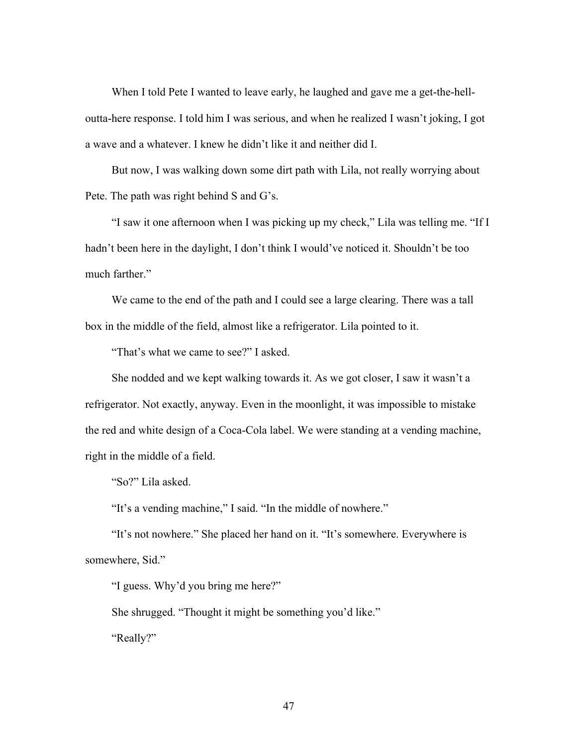When I told Pete I wanted to leave early, he laughed and gave me a get-the-helloutta-here response. I told him I was serious, and when he realized I wasn't joking, I got a wave and a whatever. I knew he didn't like it and neither did I.

But now, I was walking down some dirt path with Lila, not really worrying about Pete. The path was right behind S and G's.

"I saw it one afternoon when I was picking up my check," Lila was telling me. "If I hadn't been here in the daylight, I don't think I would've noticed it. Shouldn't be too much farther."

We came to the end of the path and I could see a large clearing. There was a tall box in the middle of the field, almost like a refrigerator. Lila pointed to it.

"That's what we came to see?" I asked.

She nodded and we kept walking towards it. As we got closer, I saw it wasn't a refrigerator. Not exactly, anyway. Even in the moonlight, it was impossible to mistake the red and white design of a Coca-Cola label. We were standing at a vending machine, right in the middle of a field.

"So?" Lila asked.

"It's a vending machine," I said. "In the middle of nowhere."

"It's not nowhere." She placed her hand on it. "It's somewhere. Everywhere is somewhere, Sid."

"I guess. Why'd you bring me here?"

She shrugged. "Thought it might be something you'd like." "Really?"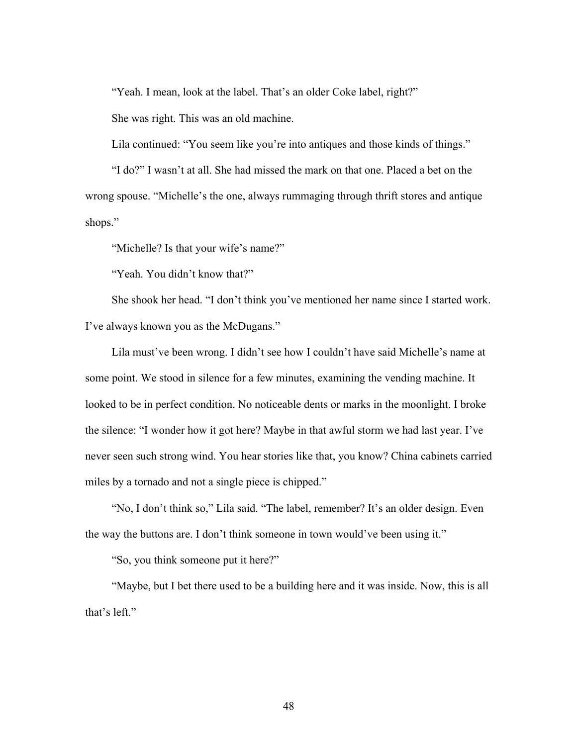"Yeah. I mean, look at the label. That's an older Coke label, right?"

She was right. This was an old machine.

Lila continued: "You seem like you're into antiques and those kinds of things."

"I do?" I wasn't at all. She had missed the mark on that one. Placed a bet on the wrong spouse. "Michelle's the one, always rummaging through thrift stores and antique shops."

"Michelle? Is that your wife's name?"

"Yeah. You didn't know that?"

She shook her head. "I don't think you've mentioned her name since I started work. I've always known you as the McDugans."

Lila must've been wrong. I didn't see how I couldn't have said Michelle's name at some point. We stood in silence for a few minutes, examining the vending machine. It looked to be in perfect condition. No noticeable dents or marks in the moonlight. I broke the silence: "I wonder how it got here? Maybe in that awful storm we had last year. I've never seen such strong wind. You hear stories like that, you know? China cabinets carried miles by a tornado and not a single piece is chipped."

"No, I don't think so," Lila said. "The label, remember? It's an older design. Even the way the buttons are. I don't think someone in town would've been using it."

"So, you think someone put it here?"

"Maybe, but I bet there used to be a building here and it was inside. Now, this is all that's left."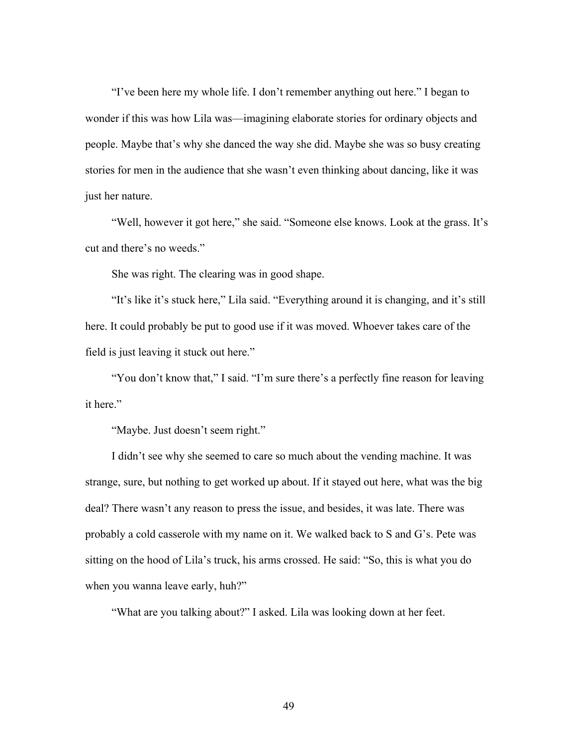"I've been here my whole life. I don't remember anything out here." I began to wonder if this was how Lila was—imagining elaborate stories for ordinary objects and people. Maybe that's why she danced the way she did. Maybe she was so busy creating stories for men in the audience that she wasn't even thinking about dancing, like it was just her nature.

"Well, however it got here," she said. "Someone else knows. Look at the grass. It's cut and there's no weeds."

She was right. The clearing was in good shape.

"It's like it's stuck here," Lila said. "Everything around it is changing, and it's still here. It could probably be put to good use if it was moved. Whoever takes care of the field is just leaving it stuck out here."

"You don't know that," I said. "I'm sure there's a perfectly fine reason for leaving it here."

"Maybe. Just doesn't seem right."

I didn't see why she seemed to care so much about the vending machine. It was strange, sure, but nothing to get worked up about. If it stayed out here, what was the big deal? There wasn't any reason to press the issue, and besides, it was late. There was probably a cold casserole with my name on it. We walked back to S and G's. Pete was sitting on the hood of Lila's truck, his arms crossed. He said: "So, this is what you do when you wanna leave early, huh?"

"What are you talking about?" I asked. Lila was looking down at her feet.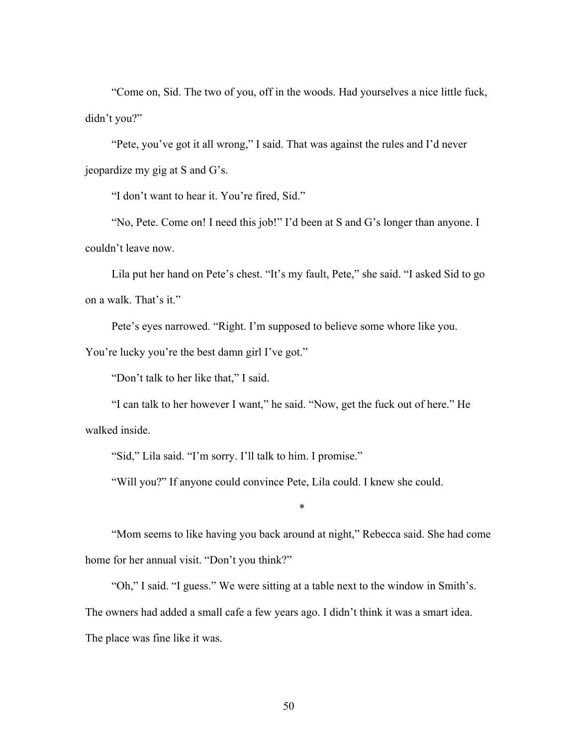"Come on, Sid. The two of you, off in the woods. Had yourselves a nice little fuck, didn't you?"

"Pete, you've got it all wrong," I said. That was against the rules and I'd never jeopardize my gig at S and G's.

"I don't want to hear it. You're fired, Sid."

"No, Pete. Come on! I need this job!" I'd been at S and G's longer than anyone. I couldn't leave now.

Lila put her hand on Pete's chest. "It's my fault, Pete," she said. "I asked Sid to go on a walk. That's it."

Pete's eyes narrowed. "Right. I'm supposed to believe some whore like you.

You're lucky you're the best damn girl I've got."

"Don't talk to her like that," I said.

"I can talk to her however I want," he said. "Now, get the fuck out of here." He walked inside.

"Sid," Lila said. "I'm sorry. I'll talk to him. I promise."

"Will you?" If anyone could convince Pete, Lila could. I knew she could.

\*

"Mom seems to like having you back around at night," Rebecca said. She had come home for her annual visit. "Don't you think?"

"Oh," I said. "I guess." We were sitting at a table next to the window in Smith's. The owners had added a small cafe a few years ago. I didn't think it was a smart idea. The place was fine like it was.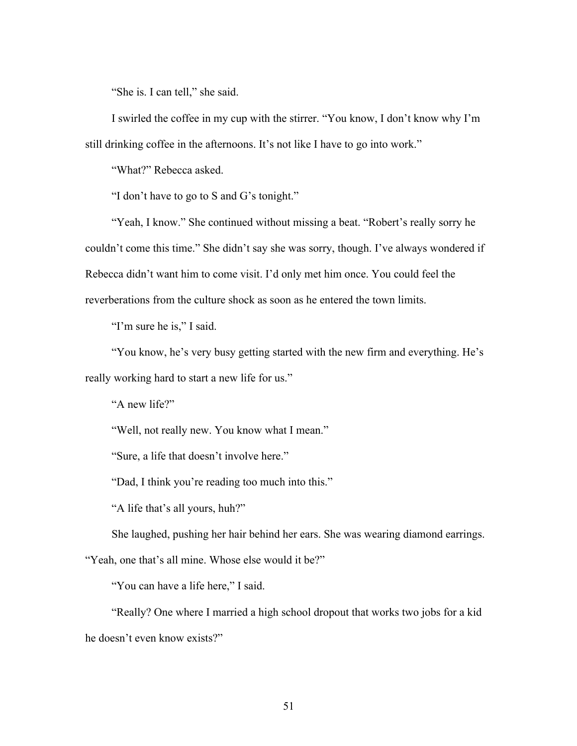"She is. I can tell," she said.

I swirled the coffee in my cup with the stirrer. "You know, I don't know why I'm still drinking coffee in the afternoons. It's not like I have to go into work."

"What?" Rebecca asked.

"I don't have to go to S and G's tonight."

"Yeah, I know." She continued without missing a beat. "Robert's really sorry he couldn't come this time." She didn't say she was sorry, though. I've always wondered if Rebecca didn't want him to come visit. I'd only met him once. You could feel the reverberations from the culture shock as soon as he entered the town limits.

"I'm sure he is," I said.

"You know, he's very busy getting started with the new firm and everything. He's really working hard to start a new life for us."

"A new life?"

"Well, not really new. You know what I mean."

"Sure, a life that doesn't involve here."

"Dad, I think you're reading too much into this."

"A life that's all yours, huh?"

She laughed, pushing her hair behind her ears. She was wearing diamond earrings.

"Yeah, one that's all mine. Whose else would it be?"

"You can have a life here," I said.

"Really? One where I married a high school dropout that works two jobs for a kid he doesn't even know exists?"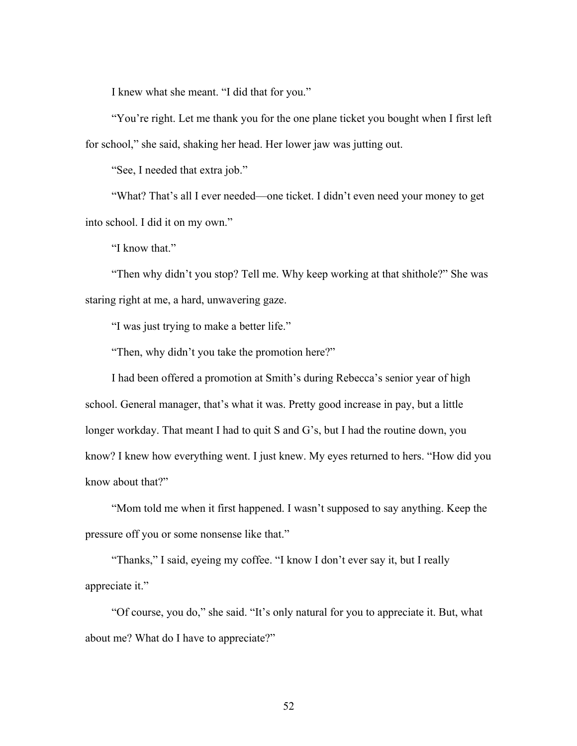I knew what she meant. "I did that for you."

"You're right. Let me thank you for the one plane ticket you bought when I first left for school," she said, shaking her head. Her lower jaw was jutting out.

"See, I needed that extra job."

"What? That's all I ever needed—one ticket. I didn't even need your money to get into school. I did it on my own."

"I know that."

"Then why didn't you stop? Tell me. Why keep working at that shithole?" She was staring right at me, a hard, unwavering gaze.

"I was just trying to make a better life."

"Then, why didn't you take the promotion here?"

I had been offered a promotion at Smith's during Rebecca's senior year of high school. General manager, that's what it was. Pretty good increase in pay, but a little longer workday. That meant I had to quit S and G's, but I had the routine down, you know? I knew how everything went. I just knew. My eyes returned to hers. "How did you know about that?"

"Mom told me when it first happened. I wasn't supposed to say anything. Keep the pressure off you or some nonsense like that."

"Thanks," I said, eyeing my coffee. "I know I don't ever say it, but I really appreciate it."

"Of course, you do," she said. "It's only natural for you to appreciate it. But, what about me? What do I have to appreciate?"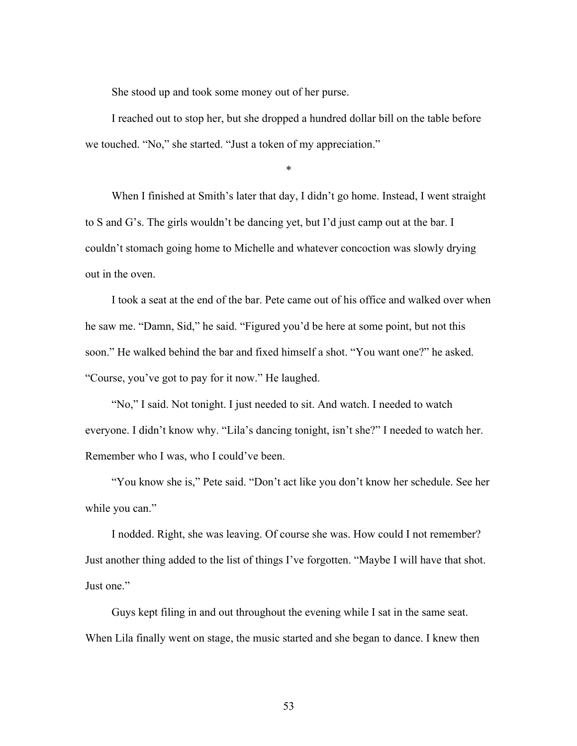She stood up and took some money out of her purse.

I reached out to stop her, but she dropped a hundred dollar bill on the table before we touched. "No," she started. "Just a token of my appreciation."

\*

When I finished at Smith's later that day, I didn't go home. Instead, I went straight to S and G's. The girls wouldn't be dancing yet, but I'd just camp out at the bar. I couldn't stomach going home to Michelle and whatever concoction was slowly drying out in the oven.

I took a seat at the end of the bar. Pete came out of his office and walked over when he saw me. "Damn, Sid," he said. "Figured you'd be here at some point, but not this soon." He walked behind the bar and fixed himself a shot. "You want one?" he asked. "Course, you've got to pay for it now." He laughed.

"No," I said. Not tonight. I just needed to sit. And watch. I needed to watch everyone. I didn't know why. "Lila's dancing tonight, isn't she?" I needed to watch her. Remember who I was, who I could've been.

"You know she is," Pete said. "Don't act like you don't know her schedule. See her while you can."

I nodded. Right, she was leaving. Of course she was. How could I not remember? Just another thing added to the list of things I've forgotten. "Maybe I will have that shot. Just one."

Guys kept filing in and out throughout the evening while I sat in the same seat. When Lila finally went on stage, the music started and she began to dance. I knew then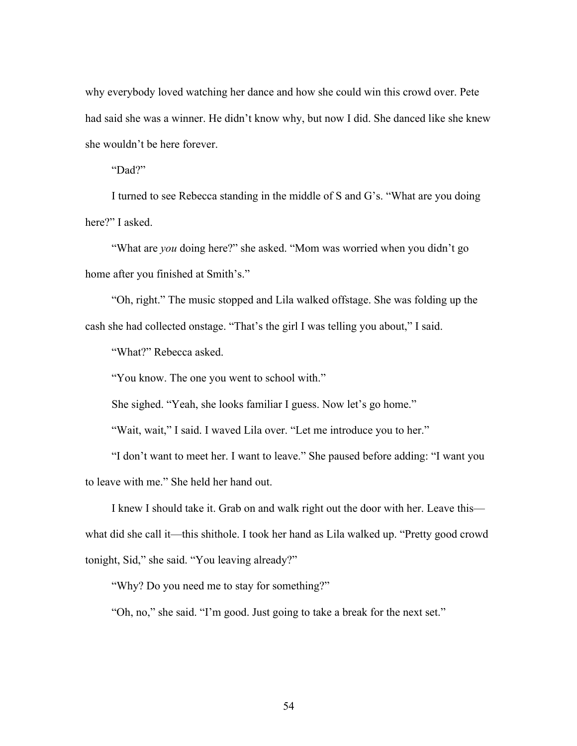why everybody loved watching her dance and how she could win this crowd over. Pete had said she was a winner. He didn't know why, but now I did. She danced like she knew she wouldn't be here forever.

"Dad?"

I turned to see Rebecca standing in the middle of S and G's. "What are you doing here?" I asked.

"What are *you* doing here?" she asked. "Mom was worried when you didn't go home after you finished at Smith's."

"Oh, right." The music stopped and Lila walked offstage. She was folding up the cash she had collected onstage. "That's the girl I was telling you about," I said.

"What?" Rebecca asked.

"You know. The one you went to school with."

She sighed. "Yeah, she looks familiar I guess. Now let's go home."

"Wait, wait," I said. I waved Lila over. "Let me introduce you to her."

"I don't want to meet her. I want to leave." She paused before adding: "I want you to leave with me." She held her hand out.

I knew I should take it. Grab on and walk right out the door with her. Leave this what did she call it—this shithole. I took her hand as Lila walked up. "Pretty good crowd tonight, Sid," she said. "You leaving already?"

"Why? Do you need me to stay for something?"

"Oh, no," she said. "I'm good. Just going to take a break for the next set."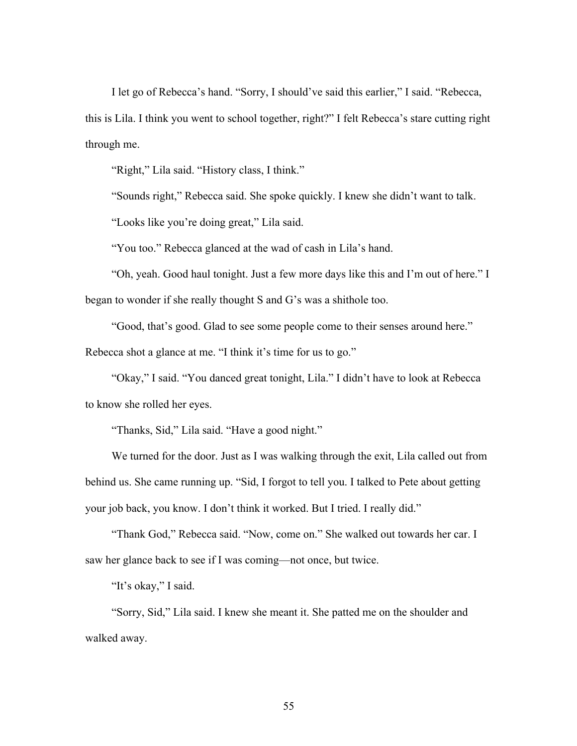I let go of Rebecca's hand. "Sorry, I should've said this earlier," I said. "Rebecca, this is Lila. I think you went to school together, right?" I felt Rebecca's stare cutting right through me.

"Right," Lila said. "History class, I think."

"Sounds right," Rebecca said. She spoke quickly. I knew she didn't want to talk.

"Looks like you're doing great," Lila said.

"You too." Rebecca glanced at the wad of cash in Lila's hand.

"Oh, yeah. Good haul tonight. Just a few more days like this and I'm out of here." I began to wonder if she really thought S and G's was a shithole too.

"Good, that's good. Glad to see some people come to their senses around here."

Rebecca shot a glance at me. "I think it's time for us to go."

"Okay," I said. "You danced great tonight, Lila." I didn't have to look at Rebecca to know she rolled her eyes.

"Thanks, Sid," Lila said. "Have a good night."

We turned for the door. Just as I was walking through the exit, Lila called out from behind us. She came running up. "Sid, I forgot to tell you. I talked to Pete about getting your job back, you know. I don't think it worked. But I tried. I really did."

"Thank God," Rebecca said. "Now, come on." She walked out towards her car. I saw her glance back to see if I was coming—not once, but twice.

"It's okay," I said.

"Sorry, Sid," Lila said. I knew she meant it. She patted me on the shoulder and walked away.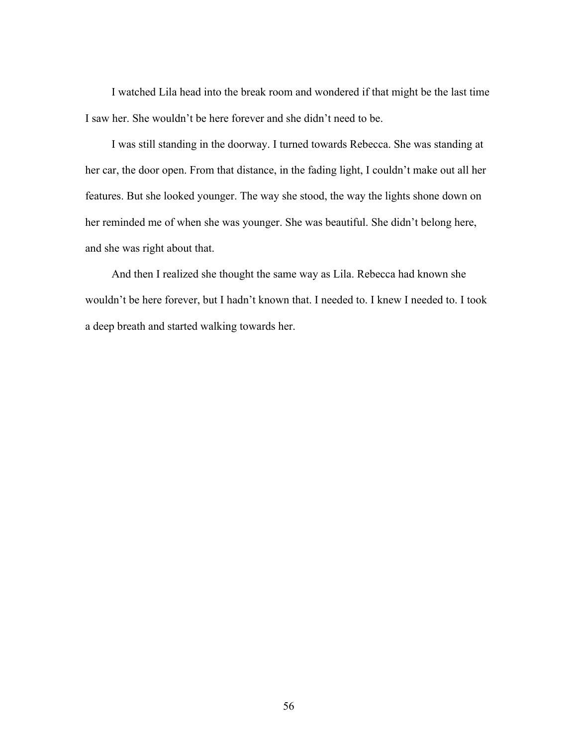I watched Lila head into the break room and wondered if that might be the last time I saw her. She wouldn't be here forever and she didn't need to be.

I was still standing in the doorway. I turned towards Rebecca. She was standing at her car, the door open. From that distance, in the fading light, I couldn't make out all her features. But she looked younger. The way she stood, the way the lights shone down on her reminded me of when she was younger. She was beautiful. She didn't belong here, and she was right about that.

And then I realized she thought the same way as Lila. Rebecca had known she wouldn't be here forever, but I hadn't known that. I needed to. I knew I needed to. I took a deep breath and started walking towards her.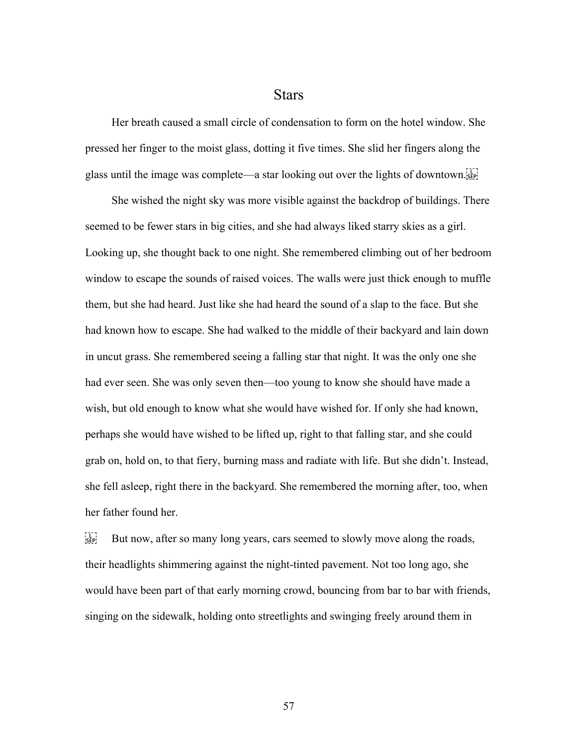## **Stars**

Her breath caused a small circle of condensation to form on the hotel window. She pressed her finger to the moist glass, dotting it five times. She slid her fingers along the glass until the image was complete—a star looking out over the lights of downtown.

She wished the night sky was more visible against the backdrop of buildings. There seemed to be fewer stars in big cities, and she had always liked starry skies as a girl. Looking up, she thought back to one night. She remembered climbing out of her bedroom window to escape the sounds of raised voices. The walls were just thick enough to muffle them, but she had heard. Just like she had heard the sound of a slap to the face. But she had known how to escape. She had walked to the middle of their backyard and lain down in uncut grass. She remembered seeing a falling star that night. It was the only one she had ever seen. She was only seven then—too young to know she should have made a wish, but old enough to know what she would have wished for. If only she had known, perhaps she would have wished to be lifted up, right to that falling star, and she could grab on, hold on, to that fiery, burning mass and radiate with life. But she didn't. Instead, she fell asleep, right there in the backyard. She remembered the morning after, too, when her father found her.

 $\sum_{s \in P_1}$  But now, after so many long years, cars seemed to slowly move along the roads, their headlights shimmering against the night-tinted pavement. Not too long ago, she would have been part of that early morning crowd, bouncing from bar to bar with friends, singing on the sidewalk, holding onto streetlights and swinging freely around them in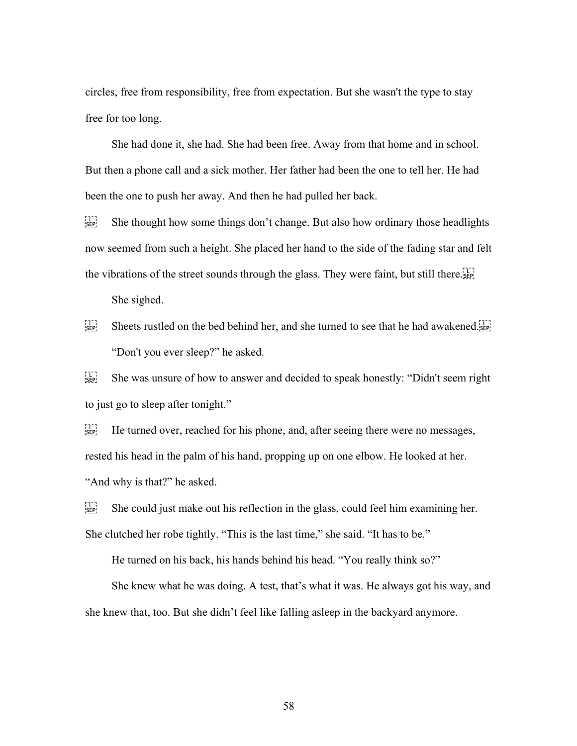circles, free from responsibility, free from expectation. But she wasn't the type to stay free for too long.

She had done it, she had. She had been free. Away from that home and in school. But then a phone call and a sick mother. Her father had been the one to tell her. He had been the one to push her away. And then he had pulled her back.

 $\frac{[1]}{[sep]}$  She thought how some things don't change. But also how ordinary those headlights now seemed from such a height. She placed her hand to the side of the fading star and felt the vibrations of the street sounds through the glass. They were faint, but still there.

She sighed.

Sheets rustled on the bed behind her, and she turned to see that he had awakened. "Don't you ever sleep?" he asked.

 $\sum_{s \in \mathbb{R}^n}$  She was unsure of how to answer and decided to speak honestly: "Didn't seem right to just go to sleep after tonight."

 $\frac{f_1}{f_2}$  He turned over, reached for his phone, and, after seeing there were no messages, rested his head in the palm of his hand, propping up on one elbow. He looked at her. "And why is that?" he asked.

 $\sum_{s \in \mathbb{R}^n}$  She could just make out his reflection in the glass, could feel him examining her. She clutched her robe tightly. "This is the last time," she said. "It has to be."

He turned on his back, his hands behind his head. "You really think so?"

She knew what he was doing. A test, that's what it was. He always got his way, and she knew that, too. But she didn't feel like falling asleep in the backyard anymore.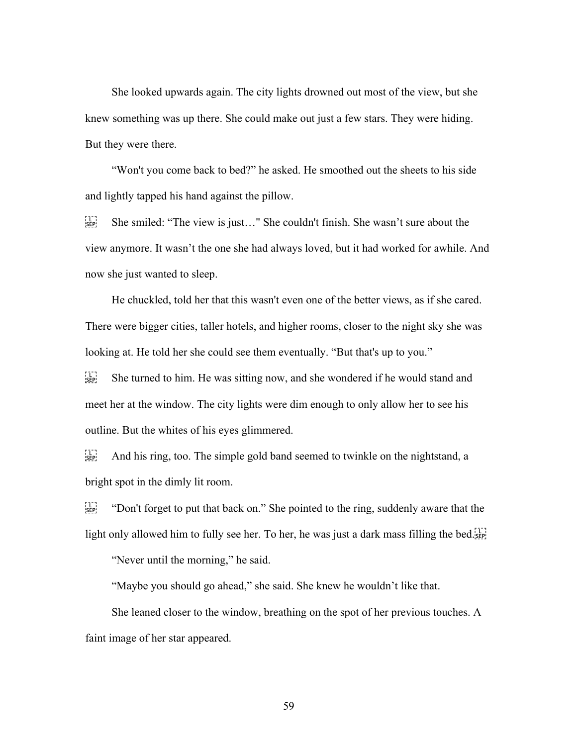She looked upwards again. The city lights drowned out most of the view, but she knew something was up there. She could make out just a few stars. They were hiding. But they were there.

"Won't you come back to bed?" he asked. He smoothed out the sheets to his side and lightly tapped his hand against the pillow.

 $\begin{bmatrix} 1 \\ 2 \end{bmatrix}$  She smiled: "The view is just..." She couldn't finish. She wasn't sure about the view anymore. It wasn't the one she had always loved, but it had worked for awhile. And now she just wanted to sleep.

He chuckled, told her that this wasn't even one of the better views, as if she cared. There were bigger cities, taller hotels, and higher rooms, closer to the night sky she was looking at. He told her she could see them eventually. "But that's up to you."

 $S_{\text{SEP}}^{[1]}$  She turned to him. He was sitting now, and she wondered if he would stand and meet her at the window. The city lights were dim enough to only allow her to see his outline. But the whites of his eyes glimmered.

 $\frac{1}{15}$  And his ring, too. The simple gold band seemed to twinkle on the nightstand, a bright spot in the dimly lit room.

 $\frac{[1]}{[SEP]}$  "Don't forget to put that back on." She pointed to the ring, suddenly aware that the light only allowed him to fully see her. To her, he was just a dark mass filling the bed.

"Never until the morning," he said.

"Maybe you should go ahead," she said. She knew he wouldn't like that.

She leaned closer to the window, breathing on the spot of her previous touches. A faint image of her star appeared.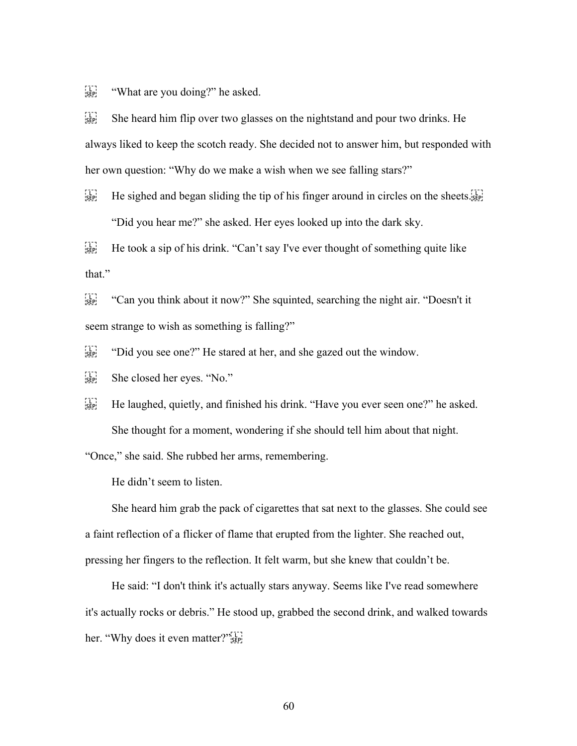$\begin{bmatrix} 1 \\ 1 \end{bmatrix}$  "What are you doing?" he asked.

 $\sum_{s \in \mathbb{R}^n}$  She heard him flip over two glasses on the nightstand and pour two drinks. He always liked to keep the scotch ready. She decided not to answer him, but responded with her own question: "Why do we make a wish when we see falling stars?"

 $H_{\text{SEP}}^{\text{TT}}$  He sighed and began sliding the tip of his finger around in circles on the sheets. "Did you hear me?" she asked. Her eyes looked up into the dark sky.

 $H_{\text{SEP}}^{\text{TT}}$  He took a sip of his drink. "Can't say I've ever thought of something quite like that."

 $\frac{1}{15E}$  "Can you think about it now?" She squinted, searching the night air. "Doesn't it seem strange to wish as something is falling?"

 $\Xi_{\text{SEP}}$  "Did you see one?" He stared at her, and she gazed out the window.

 $\sum_{s \in P_1}$  She closed her eyes. "No."

 $H_{\text{SEP}}^{[1]}$  He laughed, quietly, and finished his drink. "Have you ever seen one?" he asked. She thought for a moment, wondering if she should tell him about that night.

"Once," she said. She rubbed her arms, remembering.

He didn't seem to listen.

She heard him grab the pack of cigarettes that sat next to the glasses. She could see a faint reflection of a flicker of flame that erupted from the lighter. She reached out, pressing her fingers to the reflection. It felt warm, but she knew that couldn't be.

He said: "I don't think it's actually stars anyway. Seems like I've read somewhere it's actually rocks or debris." He stood up, grabbed the second drink, and walked towards her. "Why does it even matter?"<sup>[1]</sup>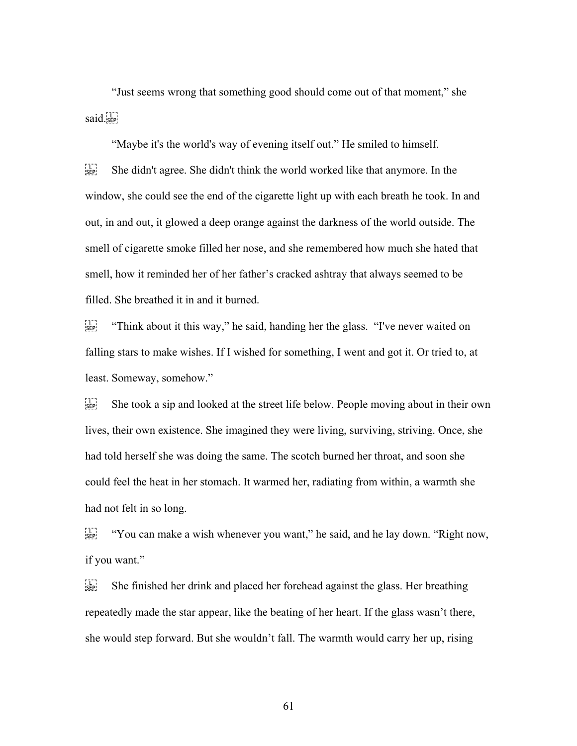"Just seems wrong that something good should come out of that moment," she said.

"Maybe it's the world's way of evening itself out." He smiled to himself.  $\frac{[1]}{[SE]}$  She didn't agree. She didn't think the world worked like that anymore. In the window, she could see the end of the cigarette light up with each breath he took. In and out, in and out, it glowed a deep orange against the darkness of the world outside. The smell of cigarette smoke filled her nose, and she remembered how much she hated that smell, how it reminded her of her father's cracked ashtray that always seemed to be filled. She breathed it in and it burned.

 $\frac{[1]}{[sep]}$  "Think about it this way," he said, handing her the glass. "I've never waited on falling stars to make wishes. If I wished for something, I went and got it. Or tried to, at least. Someway, somehow."

 $\sum_{s \in \mathbb{R}^n}$  She took a sip and looked at the street life below. People moving about in their own lives, their own existence. She imagined they were living, surviving, striving. Once, she had told herself she was doing the same. The scotch burned her throat, and soon she could feel the heat in her stomach. It warmed her, radiating from within, a warmth she had not felt in so long.

 $\frac{U_{\text{SEP}}}{V_{\text{SEP}}}$  "You can make a wish whenever you want," he said, and he lay down. "Right now, if you want."

 $S_{\text{SEP}}$  She finished her drink and placed her forehead against the glass. Her breathing repeatedly made the star appear, like the beating of her heart. If the glass wasn't there, she would step forward. But she wouldn't fall. The warmth would carry her up, rising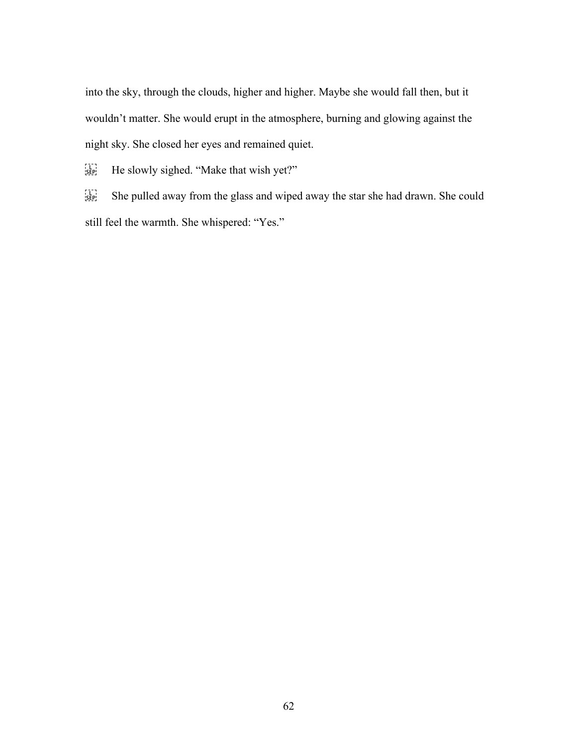into the sky, through the clouds, higher and higher. Maybe she would fall then, but it wouldn't matter. She would erupt in the atmosphere, burning and glowing against the night sky. She closed her eyes and remained quiet.

He slowly sighed. "Make that wish yet?"

She pulled away from the glass and wiped away the star she had drawn. She could still feel the warmth. She whispered: "Yes."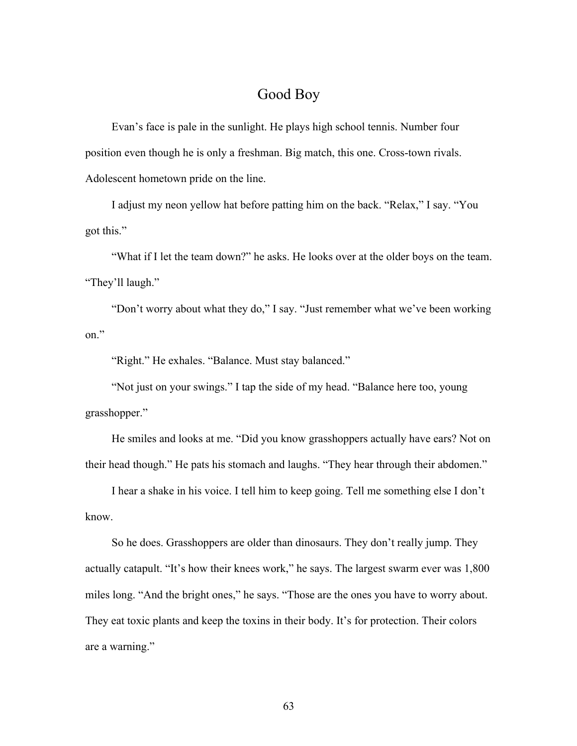## Good Boy

Evan's face is pale in the sunlight. He plays high school tennis. Number four position even though he is only a freshman. Big match, this one. Cross-town rivals. Adolescent hometown pride on the line.

I adjust my neon yellow hat before patting him on the back. "Relax," I say. "You got this."

"What if I let the team down?" he asks. He looks over at the older boys on the team. "They'll laugh."

"Don't worry about what they do," I say. "Just remember what we've been working on."

"Right." He exhales. "Balance. Must stay balanced."

"Not just on your swings." I tap the side of my head. "Balance here too, young grasshopper."

He smiles and looks at me. "Did you know grasshoppers actually have ears? Not on their head though." He pats his stomach and laughs. "They hear through their abdomen."

I hear a shake in his voice. I tell him to keep going. Tell me something else I don't know.

So he does. Grasshoppers are older than dinosaurs. They don't really jump. They actually catapult. "It's how their knees work," he says. The largest swarm ever was 1,800 miles long. "And the bright ones," he says. "Those are the ones you have to worry about. They eat toxic plants and keep the toxins in their body. It's for protection. Their colors are a warning."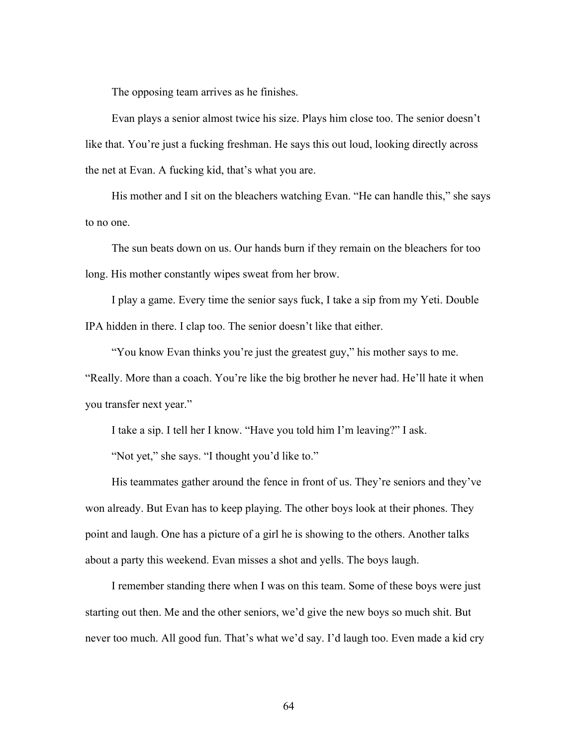The opposing team arrives as he finishes.

Evan plays a senior almost twice his size. Plays him close too. The senior doesn't like that. You're just a fucking freshman. He says this out loud, looking directly across the net at Evan. A fucking kid, that's what you are.

His mother and I sit on the bleachers watching Evan. "He can handle this," she says to no one.

The sun beats down on us. Our hands burn if they remain on the bleachers for too long. His mother constantly wipes sweat from her brow.

I play a game. Every time the senior says fuck, I take a sip from my Yeti. Double IPA hidden in there. I clap too. The senior doesn't like that either.

"You know Evan thinks you're just the greatest guy," his mother says to me. "Really. More than a coach. You're like the big brother he never had. He'll hate it when you transfer next year."

I take a sip. I tell her I know. "Have you told him I'm leaving?" I ask.

"Not yet," she says. "I thought you'd like to."

His teammates gather around the fence in front of us. They're seniors and they've won already. But Evan has to keep playing. The other boys look at their phones. They point and laugh. One has a picture of a girl he is showing to the others. Another talks about a party this weekend. Evan misses a shot and yells. The boys laugh.

I remember standing there when I was on this team. Some of these boys were just starting out then. Me and the other seniors, we'd give the new boys so much shit. But never too much. All good fun. That's what we'd say. I'd laugh too. Even made a kid cry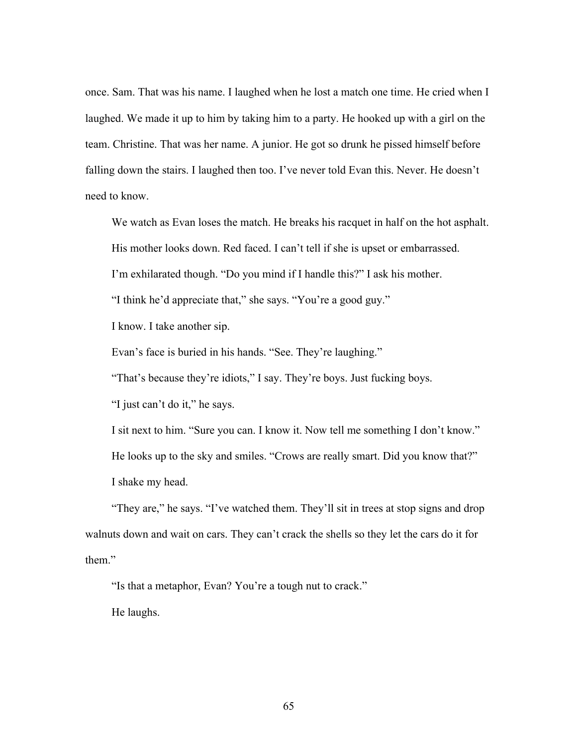once. Sam. That was his name. I laughed when he lost a match one time. He cried when I laughed. We made it up to him by taking him to a party. He hooked up with a girl on the team. Christine. That was her name. A junior. He got so drunk he pissed himself before falling down the stairs. I laughed then too. I've never told Evan this. Never. He doesn't need to know.

We watch as Evan loses the match. He breaks his racquet in half on the hot asphalt.

His mother looks down. Red faced. I can't tell if she is upset or embarrassed.

I'm exhilarated though. "Do you mind if I handle this?" I ask his mother.

"I think he'd appreciate that," she says. "You're a good guy."

I know. I take another sip.

Evan's face is buried in his hands. "See. They're laughing."

"That's because they're idiots," I say. They're boys. Just fucking boys.

"I just can't do it," he says.

I sit next to him. "Sure you can. I know it. Now tell me something I don't know." He looks up to the sky and smiles. "Crows are really smart. Did you know that?" I shake my head.

"They are," he says. "I've watched them. They'll sit in trees at stop signs and drop walnuts down and wait on cars. They can't crack the shells so they let the cars do it for them."

"Is that a metaphor, Evan? You're a tough nut to crack."

He laughs.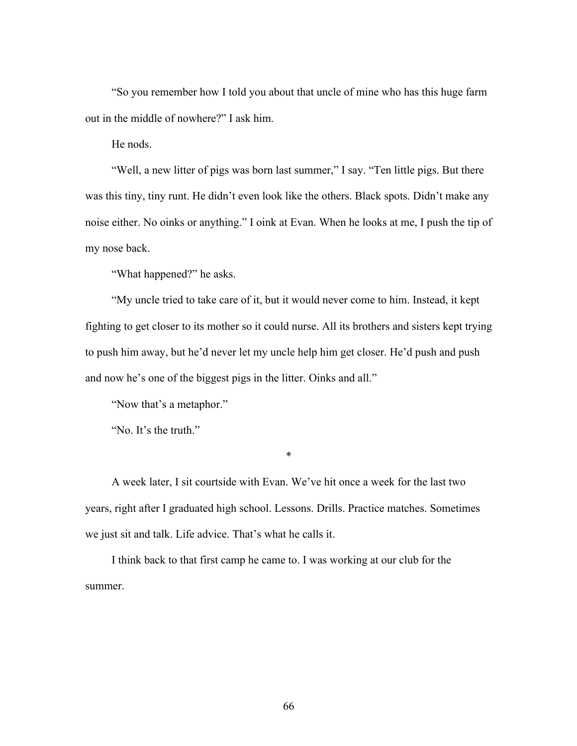"So you remember how I told you about that uncle of mine who has this huge farm out in the middle of nowhere?" I ask him.

He nods.

"Well, a new litter of pigs was born last summer," I say. "Ten little pigs. But there was this tiny, tiny runt. He didn't even look like the others. Black spots. Didn't make any noise either. No oinks or anything." I oink at Evan. When he looks at me, I push the tip of my nose back.

"What happened?" he asks.

"My uncle tried to take care of it, but it would never come to him. Instead, it kept fighting to get closer to its mother so it could nurse. All its brothers and sisters kept trying to push him away, but he'd never let my uncle help him get closer. He'd push and push and now he's one of the biggest pigs in the litter. Oinks and all."

"Now that's a metaphor."

"No. It's the truth."

\*

A week later, I sit courtside with Evan. We've hit once a week for the last two years, right after I graduated high school. Lessons. Drills. Practice matches. Sometimes we just sit and talk. Life advice. That's what he calls it.

I think back to that first camp he came to. I was working at our club for the summer.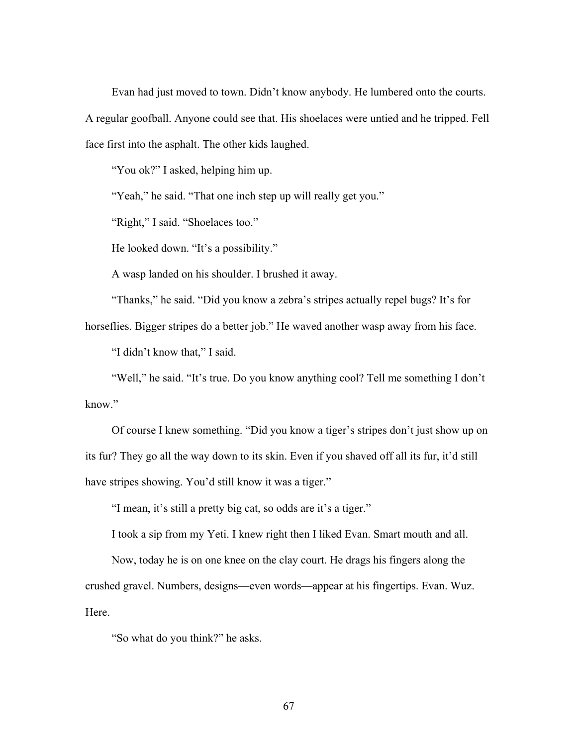Evan had just moved to town. Didn't know anybody. He lumbered onto the courts. A regular goofball. Anyone could see that. His shoelaces were untied and he tripped. Fell face first into the asphalt. The other kids laughed.

"You ok?" I asked, helping him up.

"Yeah," he said. "That one inch step up will really get you."

"Right," I said. "Shoelaces too."

He looked down. "It's a possibility."

A wasp landed on his shoulder. I brushed it away.

"Thanks," he said. "Did you know a zebra's stripes actually repel bugs? It's for horseflies. Bigger stripes do a better job." He waved another wasp away from his face.

"I didn't know that," I said.

"Well," he said. "It's true. Do you know anything cool? Tell me something I don't know."

Of course I knew something. "Did you know a tiger's stripes don't just show up on its fur? They go all the way down to its skin. Even if you shaved off all its fur, it'd still have stripes showing. You'd still know it was a tiger."

"I mean, it's still a pretty big cat, so odds are it's a tiger."

I took a sip from my Yeti. I knew right then I liked Evan. Smart mouth and all.

Now, today he is on one knee on the clay court. He drags his fingers along the crushed gravel. Numbers, designs—even words—appear at his fingertips. Evan. Wuz. Here.

"So what do you think?" he asks.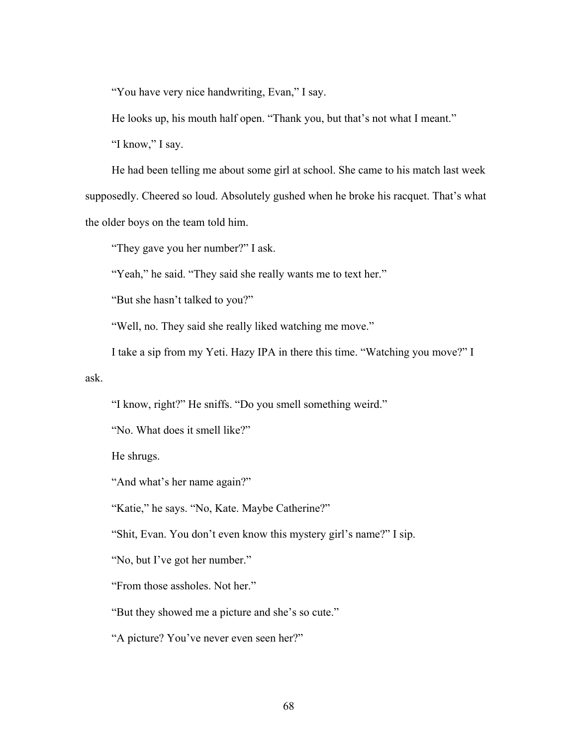"You have very nice handwriting, Evan," I say.

He looks up, his mouth half open. "Thank you, but that's not what I meant."

"I know," I say.

He had been telling me about some girl at school. She came to his match last week supposedly. Cheered so loud. Absolutely gushed when he broke his racquet. That's what the older boys on the team told him.

"They gave you her number?" I ask.

"Yeah," he said. "They said she really wants me to text her."

"But she hasn't talked to you?"

"Well, no. They said she really liked watching me move."

I take a sip from my Yeti. Hazy IPA in there this time. "Watching you move?" I

ask.

"I know, right?" He sniffs. "Do you smell something weird."

"No. What does it smell like?"

He shrugs.

"And what's her name again?"

"Katie," he says. "No, Kate. Maybe Catherine?"

"Shit, Evan. You don't even know this mystery girl's name?" I sip.

"No, but I've got her number."

"From those assholes. Not her."

"But they showed me a picture and she's so cute."

"A picture? You've never even seen her?"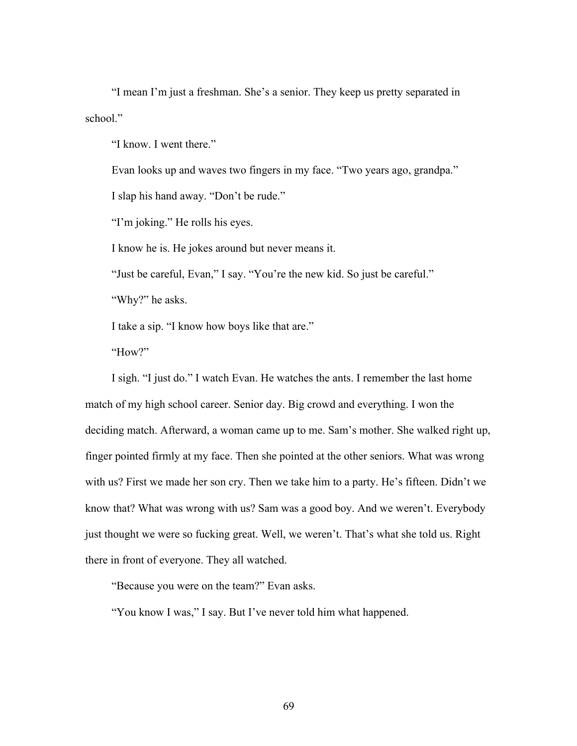"I mean I'm just a freshman. She's a senior. They keep us pretty separated in school."

"I know. I went there."

Evan looks up and waves two fingers in my face. "Two years ago, grandpa."

I slap his hand away. "Don't be rude."

"I'm joking." He rolls his eyes.

I know he is. He jokes around but never means it.

"Just be careful, Evan," I say. "You're the new kid. So just be careful."

"Why?" he asks.

I take a sip. "I know how boys like that are."

"How?"

I sigh. "I just do." I watch Evan. He watches the ants. I remember the last home match of my high school career. Senior day. Big crowd and everything. I won the deciding match. Afterward, a woman came up to me. Sam's mother. She walked right up, finger pointed firmly at my face. Then she pointed at the other seniors. What was wrong with us? First we made her son cry. Then we take him to a party. He's fifteen. Didn't we know that? What was wrong with us? Sam was a good boy. And we weren't. Everybody just thought we were so fucking great. Well, we weren't. That's what she told us. Right there in front of everyone. They all watched.

"Because you were on the team?" Evan asks.

"You know I was," I say. But I've never told him what happened.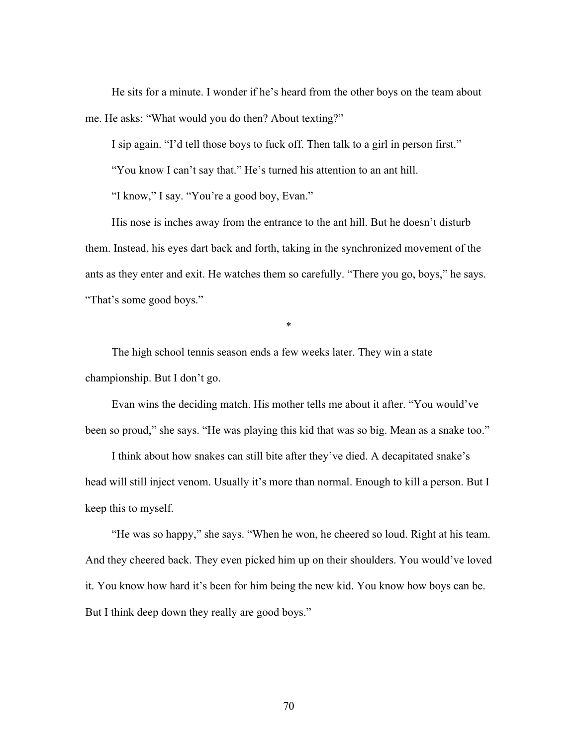He sits for a minute. I wonder if he's heard from the other boys on the team about me. He asks: "What would you do then? About texting?"

I sip again. "I'd tell those boys to fuck off. Then talk to a girl in person first."

"You know I can't say that." He's turned his attention to an ant hill.

"I know," I say. "You're a good boy, Evan."

His nose is inches away from the entrance to the ant hill. But he doesn't disturb them. Instead, his eyes dart back and forth, taking in the synchronized movement of the ants as they enter and exit. He watches them so carefully. "There you go, boys," he says. "That's some good boys."

\*

The high school tennis season ends a few weeks later. They win a state championship. But I don't go.

Evan wins the deciding match. His mother tells me about it after. "You would've been so proud," she says. "He was playing this kid that was so big. Mean as a snake too."

I think about how snakes can still bite after they've died. A decapitated snake's head will still inject venom. Usually it's more than normal. Enough to kill a person. But I keep this to myself.

"He was so happy," she says. "When he won, he cheered so loud. Right at his team. And they cheered back. They even picked him up on their shoulders. You would've loved it. You know how hard it's been for him being the new kid. You know how boys can be. But I think deep down they really are good boys."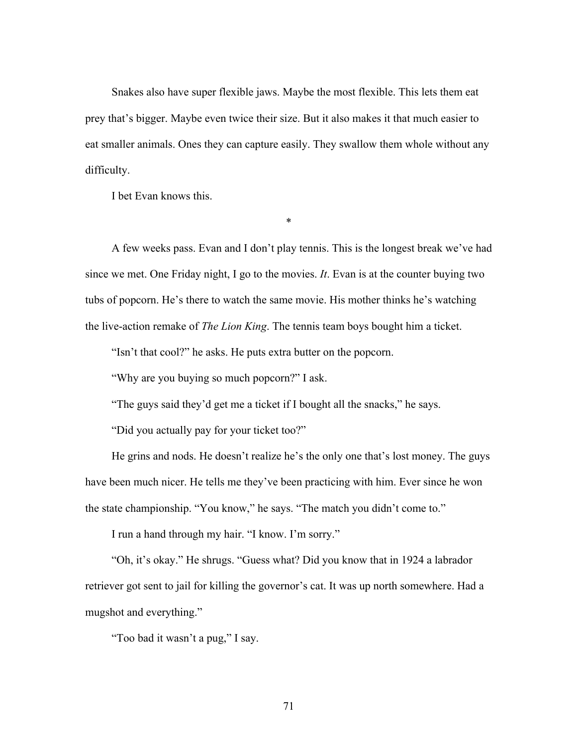Snakes also have super flexible jaws. Maybe the most flexible. This lets them eat prey that's bigger. Maybe even twice their size. But it also makes it that much easier to eat smaller animals. Ones they can capture easily. They swallow them whole without any difficulty.

I bet Evan knows this.

A few weeks pass. Evan and I don't play tennis. This is the longest break we've had since we met. One Friday night, I go to the movies. *It*. Evan is at the counter buying two tubs of popcorn. He's there to watch the same movie. His mother thinks he's watching the live-action remake of *The Lion King*. The tennis team boys bought him a ticket.

\*

"Isn't that cool?" he asks. He puts extra butter on the popcorn.

"Why are you buying so much popcorn?" I ask.

"The guys said they'd get me a ticket if I bought all the snacks," he says.

"Did you actually pay for your ticket too?"

He grins and nods. He doesn't realize he's the only one that's lost money. The guys have been much nicer. He tells me they've been practicing with him. Ever since he won the state championship. "You know," he says. "The match you didn't come to."

I run a hand through my hair. "I know. I'm sorry."

"Oh, it's okay." He shrugs. "Guess what? Did you know that in 1924 a labrador retriever got sent to jail for killing the governor's cat. It was up north somewhere. Had a mugshot and everything."

"Too bad it wasn't a pug," I say.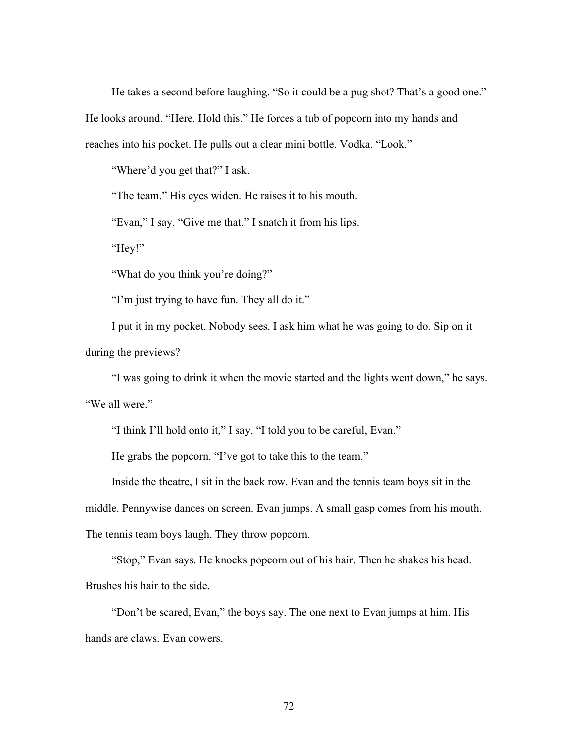He takes a second before laughing. "So it could be a pug shot? That's a good one." He looks around. "Here. Hold this." He forces a tub of popcorn into my hands and reaches into his pocket. He pulls out a clear mini bottle. Vodka. "Look."

"Where'd you get that?" I ask.

"The team." His eyes widen. He raises it to his mouth.

"Evan," I say. "Give me that." I snatch it from his lips.

"Hey!"

"What do you think you're doing?"

"I'm just trying to have fun. They all do it."

I put it in my pocket. Nobody sees. I ask him what he was going to do. Sip on it during the previews?

"I was going to drink it when the movie started and the lights went down," he says. "We all were."

"I think I'll hold onto it," I say. "I told you to be careful, Evan."

He grabs the popcorn. "I've got to take this to the team."

Inside the theatre, I sit in the back row. Evan and the tennis team boys sit in the middle. Pennywise dances on screen. Evan jumps. A small gasp comes from his mouth.

The tennis team boys laugh. They throw popcorn.

"Stop," Evan says. He knocks popcorn out of his hair. Then he shakes his head. Brushes his hair to the side.

"Don't be scared, Evan," the boys say. The one next to Evan jumps at him. His hands are claws. Evan cowers.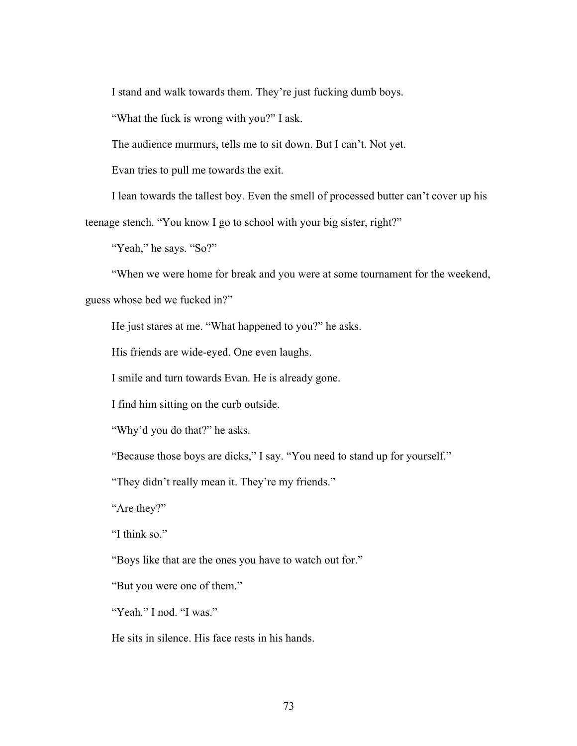I stand and walk towards them. They're just fucking dumb boys.

"What the fuck is wrong with you?" I ask.

The audience murmurs, tells me to sit down. But I can't. Not yet.

Evan tries to pull me towards the exit.

I lean towards the tallest boy. Even the smell of processed butter can't cover up his

teenage stench. "You know I go to school with your big sister, right?"

"Yeah," he says. "So?"

"When we were home for break and you were at some tournament for the weekend,

guess whose bed we fucked in?"

He just stares at me. "What happened to you?" he asks.

His friends are wide-eyed. One even laughs.

I smile and turn towards Evan. He is already gone.

I find him sitting on the curb outside.

"Why'd you do that?" he asks.

"Because those boys are dicks," I say. "You need to stand up for yourself."

"They didn't really mean it. They're my friends."

"Are they?"

"I think so."

"Boys like that are the ones you have to watch out for."

"But you were one of them."

"Yeah." I nod. "I was."

He sits in silence. His face rests in his hands.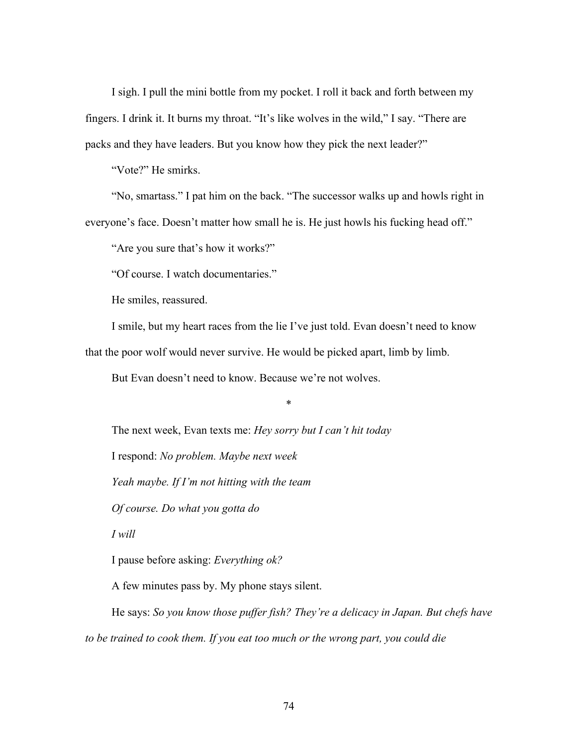I sigh. I pull the mini bottle from my pocket. I roll it back and forth between my fingers. I drink it. It burns my throat. "It's like wolves in the wild," I say. "There are packs and they have leaders. But you know how they pick the next leader?"

"Vote?" He smirks.

"No, smartass." I pat him on the back. "The successor walks up and howls right in everyone's face. Doesn't matter how small he is. He just howls his fucking head off."

"Are you sure that's how it works?"

"Of course. I watch documentaries."

He smiles, reassured.

I smile, but my heart races from the lie I've just told. Evan doesn't need to know that the poor wolf would never survive. He would be picked apart, limb by limb.

\*

But Evan doesn't need to know. Because we're not wolves.

The next week, Evan texts me: *Hey sorry but I can't hit today*

I respond: *No problem. Maybe next week*

*Yeah maybe. If I'm not hitting with the team*

*Of course. Do what you gotta do*

*I will*

I pause before asking: *Everything ok?*

A few minutes pass by. My phone stays silent.

He says: *So you know those puffer fish? They're a delicacy in Japan. But chefs have to be trained to cook them. If you eat too much or the wrong part, you could die*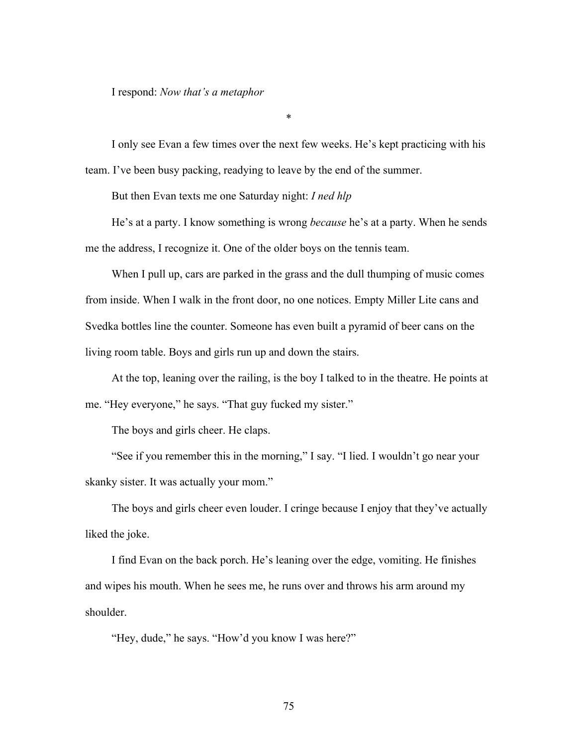I respond: *Now that's a metaphor*

I only see Evan a few times over the next few weeks. He's kept practicing with his team. I've been busy packing, readying to leave by the end of the summer.

\*

But then Evan texts me one Saturday night: *I ned hlp*

He's at a party. I know something is wrong *because* he's at a party. When he sends me the address, I recognize it. One of the older boys on the tennis team.

When I pull up, cars are parked in the grass and the dull thumping of music comes from inside. When I walk in the front door, no one notices. Empty Miller Lite cans and Svedka bottles line the counter. Someone has even built a pyramid of beer cans on the living room table. Boys and girls run up and down the stairs.

At the top, leaning over the railing, is the boy I talked to in the theatre. He points at me. "Hey everyone," he says. "That guy fucked my sister."

The boys and girls cheer. He claps.

"See if you remember this in the morning," I say. "I lied. I wouldn't go near your skanky sister. It was actually your mom."

The boys and girls cheer even louder. I cringe because I enjoy that they've actually liked the joke.

I find Evan on the back porch. He's leaning over the edge, vomiting. He finishes and wipes his mouth. When he sees me, he runs over and throws his arm around my shoulder.

"Hey, dude," he says. "How'd you know I was here?"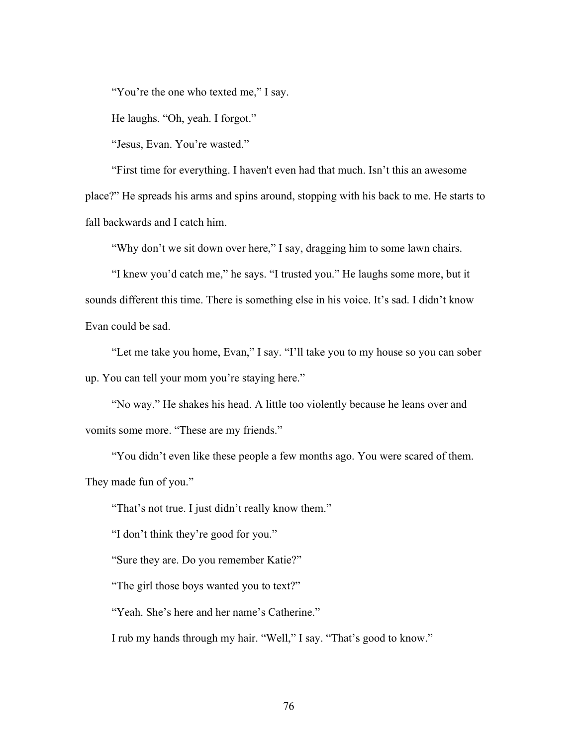"You're the one who texted me," I say.

He laughs. "Oh, yeah. I forgot."

"Jesus, Evan. You're wasted."

"First time for everything. I haven't even had that much. Isn't this an awesome place?" He spreads his arms and spins around, stopping with his back to me. He starts to fall backwards and I catch him.

"Why don't we sit down over here," I say, dragging him to some lawn chairs.

"I knew you'd catch me," he says. "I trusted you." He laughs some more, but it sounds different this time. There is something else in his voice. It's sad. I didn't know Evan could be sad.

"Let me take you home, Evan," I say. "I'll take you to my house so you can sober up. You can tell your mom you're staying here."

"No way." He shakes his head. A little too violently because he leans over and vomits some more. "These are my friends."

"You didn't even like these people a few months ago. You were scared of them. They made fun of you."

"That's not true. I just didn't really know them."

"I don't think they're good for you."

"Sure they are. Do you remember Katie?"

"The girl those boys wanted you to text?"

"Yeah. She's here and her name's Catherine."

I rub my hands through my hair. "Well," I say. "That's good to know."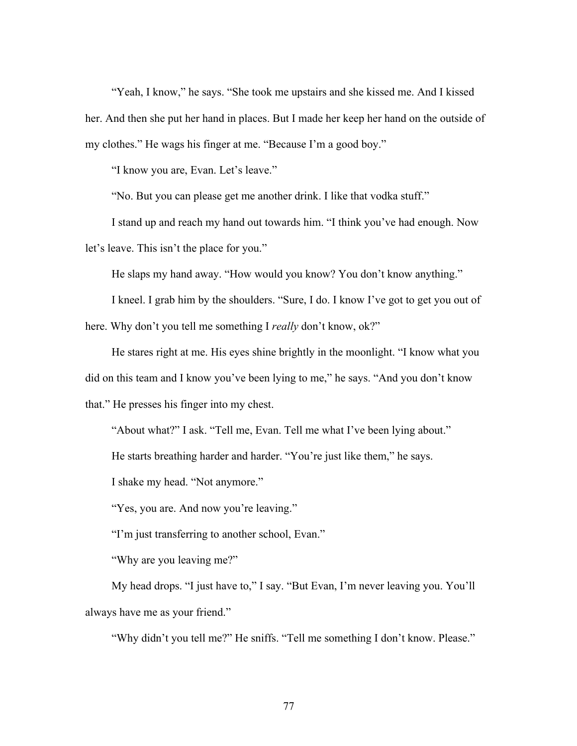"Yeah, I know," he says. "She took me upstairs and she kissed me. And I kissed her. And then she put her hand in places. But I made her keep her hand on the outside of my clothes." He wags his finger at me. "Because I'm a good boy."

"I know you are, Evan. Let's leave."

"No. But you can please get me another drink. I like that vodka stuff."

I stand up and reach my hand out towards him. "I think you've had enough. Now let's leave. This isn't the place for you."

He slaps my hand away. "How would you know? You don't know anything."

I kneel. I grab him by the shoulders. "Sure, I do. I know I've got to get you out of here. Why don't you tell me something I *really* don't know, ok?"

He stares right at me. His eyes shine brightly in the moonlight. "I know what you did on this team and I know you've been lying to me," he says. "And you don't know that." He presses his finger into my chest.

"About what?" I ask. "Tell me, Evan. Tell me what I've been lying about."

He starts breathing harder and harder. "You're just like them," he says.

I shake my head. "Not anymore."

"Yes, you are. And now you're leaving."

"I'm just transferring to another school, Evan."

"Why are you leaving me?"

My head drops. "I just have to," I say. "But Evan, I'm never leaving you. You'll always have me as your friend."

"Why didn't you tell me?" He sniffs. "Tell me something I don't know. Please."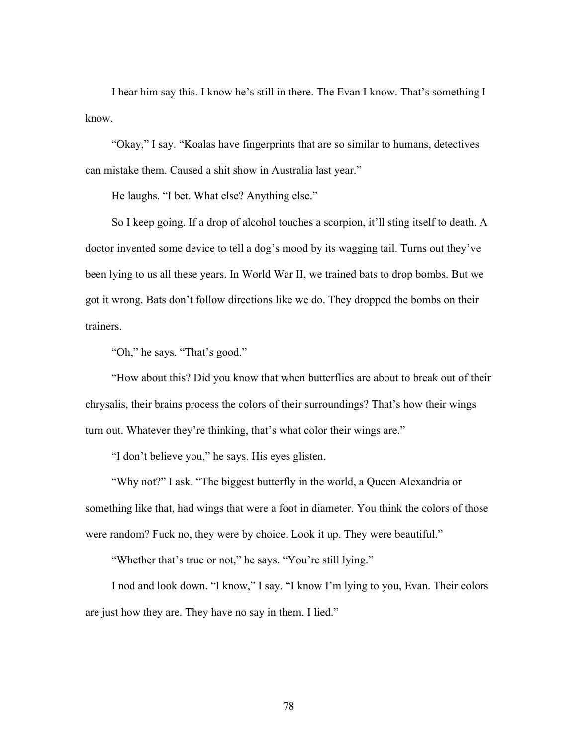I hear him say this. I know he's still in there. The Evan I know. That's something I know.

"Okay," I say. "Koalas have fingerprints that are so similar to humans, detectives can mistake them. Caused a shit show in Australia last year."

He laughs. "I bet. What else? Anything else."

So I keep going. If a drop of alcohol touches a scorpion, it'll sting itself to death. A doctor invented some device to tell a dog's mood by its wagging tail. Turns out they've been lying to us all these years. In World War II, we trained bats to drop bombs. But we got it wrong. Bats don't follow directions like we do. They dropped the bombs on their trainers.

"Oh," he says. "That's good."

"How about this? Did you know that when butterflies are about to break out of their chrysalis, their brains process the colors of their surroundings? That's how their wings turn out. Whatever they're thinking, that's what color their wings are."

"I don't believe you," he says. His eyes glisten.

"Why not?" I ask. "The biggest butterfly in the world, a Queen Alexandria or something like that, had wings that were a foot in diameter. You think the colors of those were random? Fuck no, they were by choice. Look it up. They were beautiful."

"Whether that's true or not," he says. "You're still lying."

I nod and look down. "I know," I say. "I know I'm lying to you, Evan. Their colors are just how they are. They have no say in them. I lied."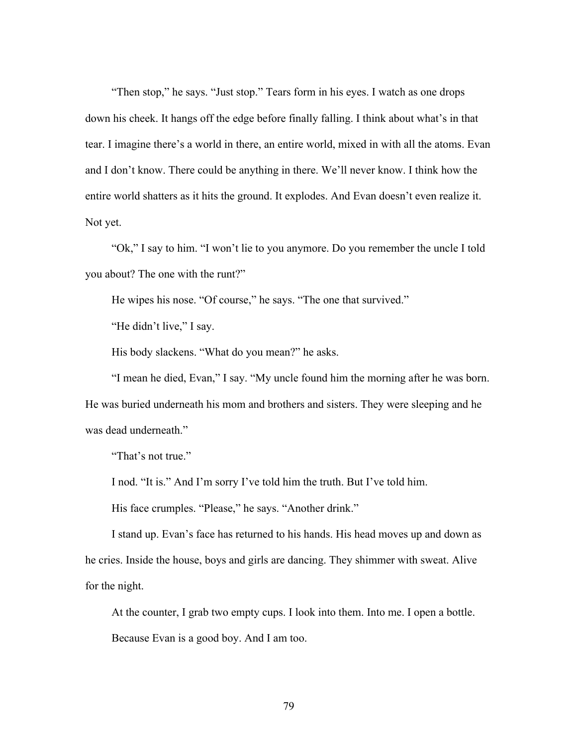"Then stop," he says. "Just stop." Tears form in his eyes. I watch as one drops down his cheek. It hangs off the edge before finally falling. I think about what's in that tear. I imagine there's a world in there, an entire world, mixed in with all the atoms. Evan and I don't know. There could be anything in there. We'll never know. I think how the entire world shatters as it hits the ground. It explodes. And Evan doesn't even realize it. Not yet.

"Ok," I say to him. "I won't lie to you anymore. Do you remember the uncle I told you about? The one with the runt?"

He wipes his nose. "Of course," he says. "The one that survived."

"He didn't live," I say.

His body slackens. "What do you mean?" he asks.

"I mean he died, Evan," I say. "My uncle found him the morning after he was born. He was buried underneath his mom and brothers and sisters. They were sleeping and he was dead underneath."

"That's not true."

I nod. "It is." And I'm sorry I've told him the truth. But I've told him.

His face crumples. "Please," he says. "Another drink."

I stand up. Evan's face has returned to his hands. His head moves up and down as he cries. Inside the house, boys and girls are dancing. They shimmer with sweat. Alive for the night.

At the counter, I grab two empty cups. I look into them. Into me. I open a bottle. Because Evan is a good boy. And I am too.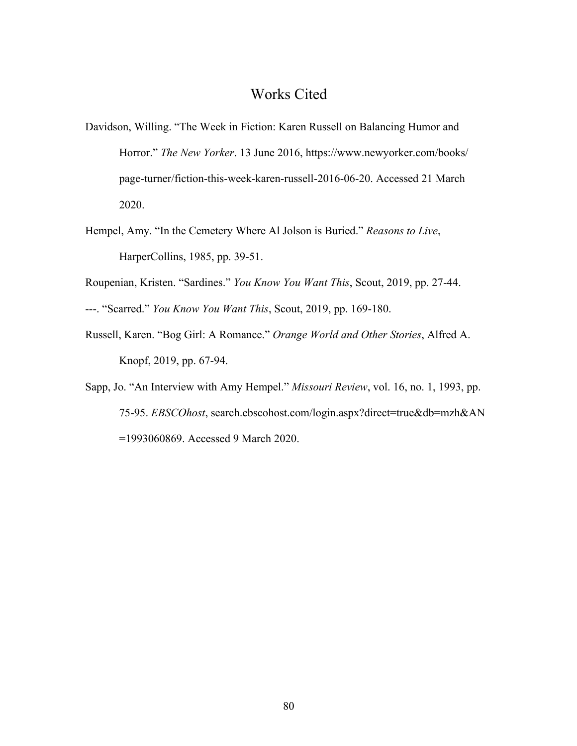## Works Cited

- Davidson, Willing. "The Week in Fiction: Karen Russell on Balancing Humor and Horror." *The New Yorker*. 13 June 2016, https://www.newyorker.com/books/ page-turner/fiction-this-week-karen-russell-2016-06-20. Accessed 21 March 2020.
- Hempel, Amy. "In the Cemetery Where Al Jolson is Buried." *Reasons to Live*, HarperCollins, 1985, pp. 39-51.
- Roupenian, Kristen. "Sardines." *You Know You Want This*, Scout, 2019, pp. 27-44.
- ---. "Scarred." *You Know You Want This*, Scout, 2019, pp. 169-180.
- Russell, Karen. "Bog Girl: A Romance." *Orange World and Other Stories*, Alfred A. Knopf, 2019, pp. 67-94.
- Sapp, Jo. "An Interview with Amy Hempel." *Missouri Review*, vol. 16, no. 1, 1993, pp. 75-95. *EBSCOhost*, search.ebscohost.com/login.aspx?direct=true&db=mzh&AN =1993060869. Accessed 9 March 2020.